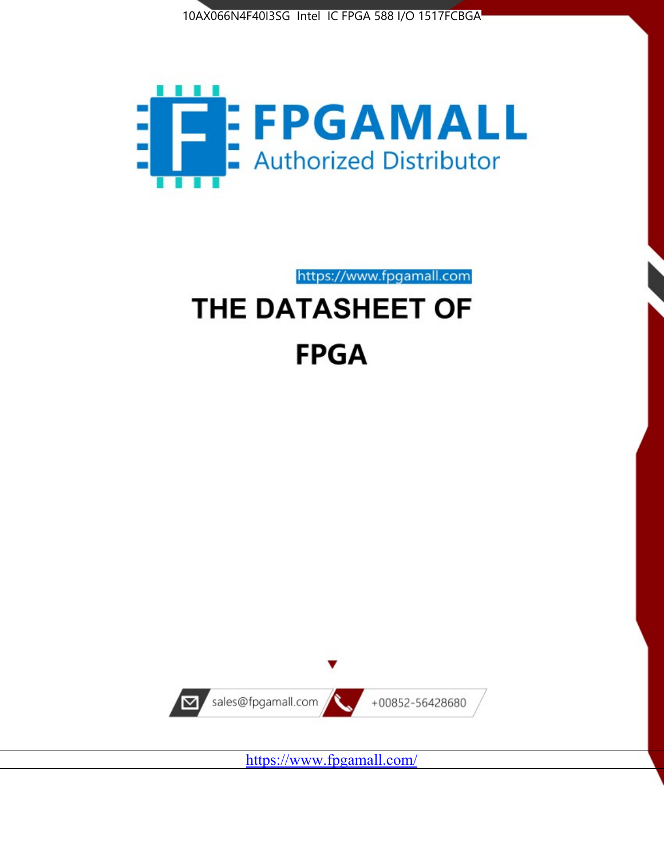



https://www.fpgamall.com

# THE DATASHEET OF **FPGA**



<https://www.fpgamall.com/>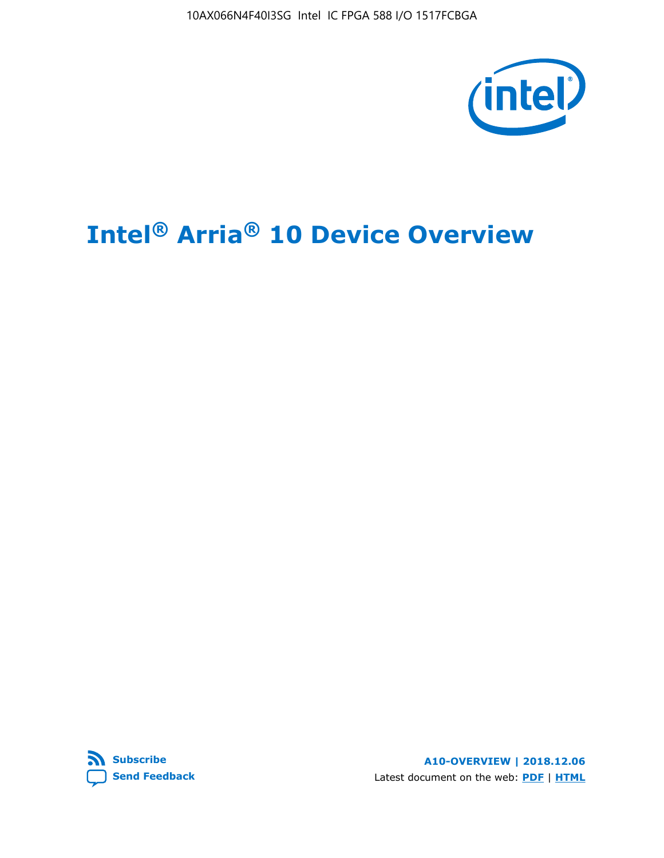10AX066N4F40I3SG Intel IC FPGA 588 I/O 1517FCBGA



# **Intel® Arria® 10 Device Overview**



**A10-OVERVIEW | 2018.12.06** Latest document on the web: **[PDF](https://www.intel.com/content/dam/www/programmable/us/en/pdfs/literature/hb/arria-10/a10_overview.pdf)** | **[HTML](https://www.intel.com/content/www/us/en/programmable/documentation/sam1403480274650.html)**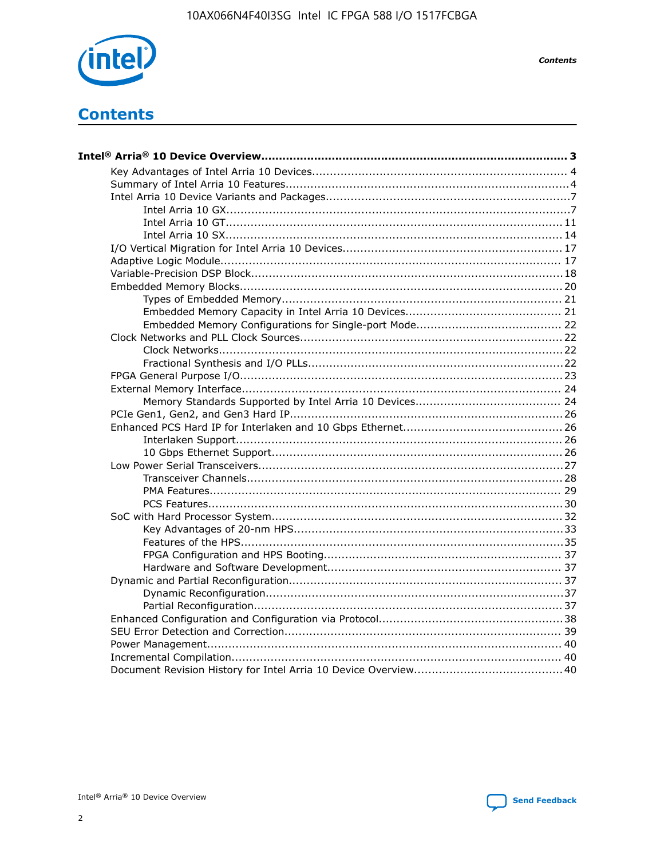

**Contents** 

# **Contents**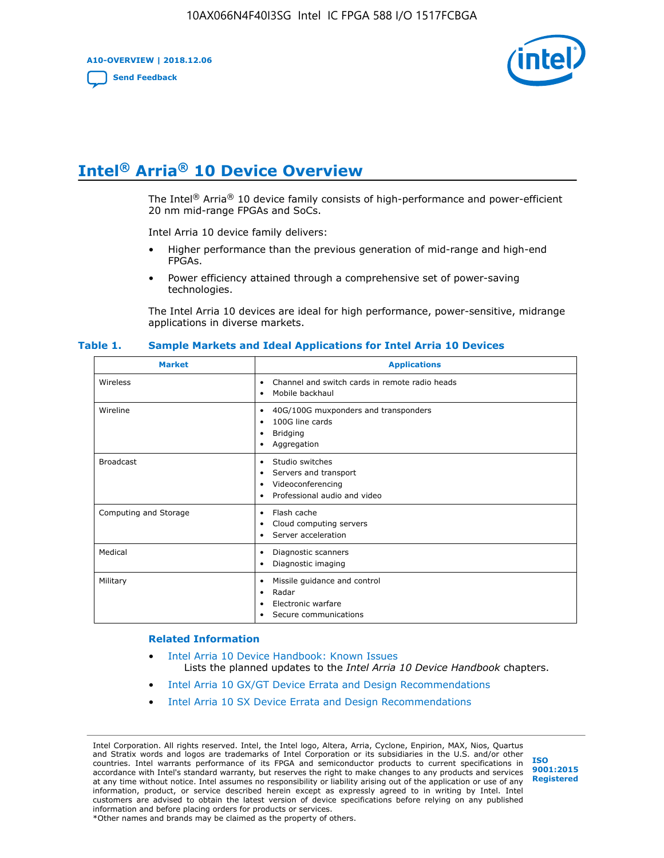**A10-OVERVIEW | 2018.12.06**

**[Send Feedback](mailto:FPGAtechdocfeedback@intel.com?subject=Feedback%20on%20Intel%20Arria%2010%20Device%20Overview%20(A10-OVERVIEW%202018.12.06)&body=We%20appreciate%20your%20feedback.%20In%20your%20comments,%20also%20specify%20the%20page%20number%20or%20paragraph.%20Thank%20you.)**



# **Intel® Arria® 10 Device Overview**

The Intel<sup>®</sup> Arria<sup>®</sup> 10 device family consists of high-performance and power-efficient 20 nm mid-range FPGAs and SoCs.

Intel Arria 10 device family delivers:

- Higher performance than the previous generation of mid-range and high-end FPGAs.
- Power efficiency attained through a comprehensive set of power-saving technologies.

The Intel Arria 10 devices are ideal for high performance, power-sensitive, midrange applications in diverse markets.

| <b>Market</b>         | <b>Applications</b>                                                                                               |
|-----------------------|-------------------------------------------------------------------------------------------------------------------|
| Wireless              | Channel and switch cards in remote radio heads<br>٠<br>Mobile backhaul<br>٠                                       |
| Wireline              | 40G/100G muxponders and transponders<br>٠<br>100G line cards<br>٠<br><b>Bridging</b><br>٠<br>Aggregation<br>٠     |
| <b>Broadcast</b>      | Studio switches<br>٠<br>Servers and transport<br>٠<br>Videoconferencing<br>٠<br>Professional audio and video<br>٠ |
| Computing and Storage | Flash cache<br>٠<br>Cloud computing servers<br>٠<br>Server acceleration<br>٠                                      |
| Medical               | Diagnostic scanners<br>٠<br>Diagnostic imaging<br>٠                                                               |
| Military              | Missile guidance and control<br>٠<br>Radar<br>٠<br>Electronic warfare<br>٠<br>Secure communications<br>٠          |

#### **Table 1. Sample Markets and Ideal Applications for Intel Arria 10 Devices**

#### **Related Information**

- [Intel Arria 10 Device Handbook: Known Issues](http://www.altera.com/support/kdb/solutions/rd07302013_646.html) Lists the planned updates to the *Intel Arria 10 Device Handbook* chapters.
- [Intel Arria 10 GX/GT Device Errata and Design Recommendations](https://www.intel.com/content/www/us/en/programmable/documentation/agz1493851706374.html#yqz1494433888646)
- [Intel Arria 10 SX Device Errata and Design Recommendations](https://www.intel.com/content/www/us/en/programmable/documentation/cru1462832385668.html#cru1462832558642)

Intel Corporation. All rights reserved. Intel, the Intel logo, Altera, Arria, Cyclone, Enpirion, MAX, Nios, Quartus and Stratix words and logos are trademarks of Intel Corporation or its subsidiaries in the U.S. and/or other countries. Intel warrants performance of its FPGA and semiconductor products to current specifications in accordance with Intel's standard warranty, but reserves the right to make changes to any products and services at any time without notice. Intel assumes no responsibility or liability arising out of the application or use of any information, product, or service described herein except as expressly agreed to in writing by Intel. Intel customers are advised to obtain the latest version of device specifications before relying on any published information and before placing orders for products or services. \*Other names and brands may be claimed as the property of others.

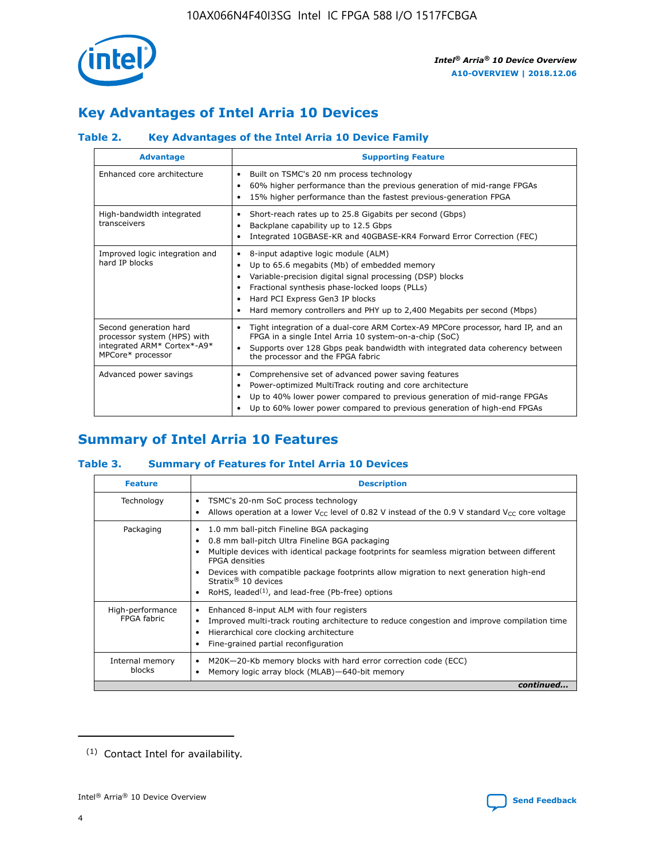

# **Key Advantages of Intel Arria 10 Devices**

## **Table 2. Key Advantages of the Intel Arria 10 Device Family**

| <b>Advantage</b>                                                                                          | <b>Supporting Feature</b>                                                                                                                                                                                                                                                                                                |
|-----------------------------------------------------------------------------------------------------------|--------------------------------------------------------------------------------------------------------------------------------------------------------------------------------------------------------------------------------------------------------------------------------------------------------------------------|
| Enhanced core architecture                                                                                | Built on TSMC's 20 nm process technology<br>٠<br>60% higher performance than the previous generation of mid-range FPGAs<br>٠<br>15% higher performance than the fastest previous-generation FPGA<br>٠                                                                                                                    |
| High-bandwidth integrated<br>transceivers                                                                 | Short-reach rates up to 25.8 Gigabits per second (Gbps)<br>٠<br>Backplane capability up to 12.5 Gbps<br>٠<br>Integrated 10GBASE-KR and 40GBASE-KR4 Forward Error Correction (FEC)<br>٠                                                                                                                                   |
| Improved logic integration and<br>hard IP blocks                                                          | 8-input adaptive logic module (ALM)<br>٠<br>Up to 65.6 megabits (Mb) of embedded memory<br>٠<br>Variable-precision digital signal processing (DSP) blocks<br>Fractional synthesis phase-locked loops (PLLs)<br>Hard PCI Express Gen3 IP blocks<br>Hard memory controllers and PHY up to 2,400 Megabits per second (Mbps) |
| Second generation hard<br>processor system (HPS) with<br>integrated ARM* Cortex*-A9*<br>MPCore* processor | Tight integration of a dual-core ARM Cortex-A9 MPCore processor, hard IP, and an<br>٠<br>FPGA in a single Intel Arria 10 system-on-a-chip (SoC)<br>Supports over 128 Gbps peak bandwidth with integrated data coherency between<br>$\bullet$<br>the processor and the FPGA fabric                                        |
| Advanced power savings                                                                                    | Comprehensive set of advanced power saving features<br>٠<br>Power-optimized MultiTrack routing and core architecture<br>٠<br>Up to 40% lower power compared to previous generation of mid-range FPGAs<br>٠<br>Up to 60% lower power compared to previous generation of high-end FPGAs<br>٠                               |

# **Summary of Intel Arria 10 Features**

## **Table 3. Summary of Features for Intel Arria 10 Devices**

| <b>Feature</b>                   | <b>Description</b>                                                                                                                                                                                                                                                                                                                                                                             |
|----------------------------------|------------------------------------------------------------------------------------------------------------------------------------------------------------------------------------------------------------------------------------------------------------------------------------------------------------------------------------------------------------------------------------------------|
| Technology                       | TSMC's 20-nm SoC process technology<br>٠<br>Allows operation at a lower $V_{CC}$ level of 0.82 V instead of the 0.9 V standard $V_{CC}$ core voltage                                                                                                                                                                                                                                           |
| Packaging                        | 1.0 mm ball-pitch Fineline BGA packaging<br>0.8 mm ball-pitch Ultra Fineline BGA packaging<br>Multiple devices with identical package footprints for seamless migration between different<br><b>FPGA</b> densities<br>Devices with compatible package footprints allow migration to next generation high-end<br>Stratix $@$ 10 devices<br>RoHS, leaded $(1)$ , and lead-free (Pb-free) options |
| High-performance<br>FPGA fahric  | Enhanced 8-input ALM with four registers<br>٠<br>Improved multi-track routing architecture to reduce congestion and improve compilation time<br>Hierarchical core clocking architecture<br>Fine-grained partial reconfiguration                                                                                                                                                                |
| Internal memory<br><b>blocks</b> | M20K-20-Kb memory blocks with hard error correction code (ECC)<br>Memory logic array block (MLAB)-640-bit memory                                                                                                                                                                                                                                                                               |
|                                  | continued.                                                                                                                                                                                                                                                                                                                                                                                     |



<sup>(1)</sup> Contact Intel for availability.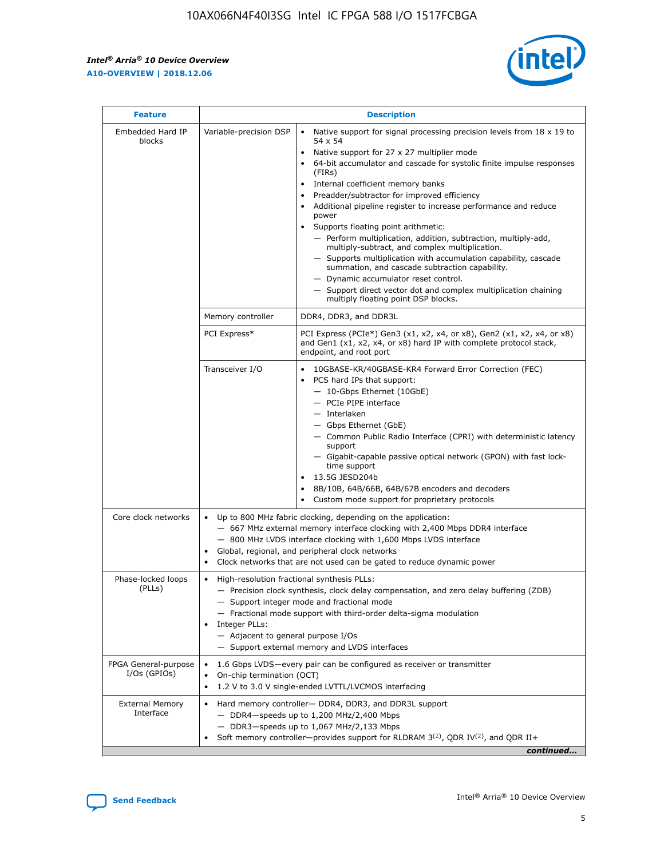r



| <b>Feature</b>                         |                                                                                                                | <b>Description</b>                                                                                                                                                                                                                                                                                                                                                                                                                                                                                                                                                                                                                                                                                                                                                                                                                     |
|----------------------------------------|----------------------------------------------------------------------------------------------------------------|----------------------------------------------------------------------------------------------------------------------------------------------------------------------------------------------------------------------------------------------------------------------------------------------------------------------------------------------------------------------------------------------------------------------------------------------------------------------------------------------------------------------------------------------------------------------------------------------------------------------------------------------------------------------------------------------------------------------------------------------------------------------------------------------------------------------------------------|
| Embedded Hard IP<br>blocks             | Variable-precision DSP                                                                                         | Native support for signal processing precision levels from $18 \times 19$ to<br>54 x 54<br>Native support for 27 x 27 multiplier mode<br>64-bit accumulator and cascade for systolic finite impulse responses<br>(FIRs)<br>Internal coefficient memory banks<br>$\bullet$<br>Preadder/subtractor for improved efficiency<br>Additional pipeline register to increase performance and reduce<br>power<br>Supports floating point arithmetic:<br>- Perform multiplication, addition, subtraction, multiply-add,<br>multiply-subtract, and complex multiplication.<br>- Supports multiplication with accumulation capability, cascade<br>summation, and cascade subtraction capability.<br>- Dynamic accumulator reset control.<br>- Support direct vector dot and complex multiplication chaining<br>multiply floating point DSP blocks. |
|                                        | Memory controller                                                                                              | DDR4, DDR3, and DDR3L                                                                                                                                                                                                                                                                                                                                                                                                                                                                                                                                                                                                                                                                                                                                                                                                                  |
|                                        | PCI Express*                                                                                                   | PCI Express (PCIe*) Gen3 (x1, x2, x4, or x8), Gen2 (x1, x2, x4, or x8)<br>and Gen1 (x1, x2, x4, or x8) hard IP with complete protocol stack,<br>endpoint, and root port                                                                                                                                                                                                                                                                                                                                                                                                                                                                                                                                                                                                                                                                |
|                                        | Transceiver I/O                                                                                                | 10GBASE-KR/40GBASE-KR4 Forward Error Correction (FEC)<br>PCS hard IPs that support:<br>$\bullet$<br>- 10-Gbps Ethernet (10GbE)<br>- PCIe PIPE interface<br>$-$ Interlaken<br>- Gbps Ethernet (GbE)<br>- Common Public Radio Interface (CPRI) with deterministic latency<br>support<br>- Gigabit-capable passive optical network (GPON) with fast lock-<br>time support<br>13.5G JESD204b<br>$\bullet$<br>8B/10B, 64B/66B, 64B/67B encoders and decoders<br>Custom mode support for proprietary protocols                                                                                                                                                                                                                                                                                                                               |
| Core clock networks                    | $\bullet$<br>$\bullet$                                                                                         | Up to 800 MHz fabric clocking, depending on the application:<br>- 667 MHz external memory interface clocking with 2,400 Mbps DDR4 interface<br>- 800 MHz LVDS interface clocking with 1,600 Mbps LVDS interface<br>Global, regional, and peripheral clock networks<br>Clock networks that are not used can be gated to reduce dynamic power                                                                                                                                                                                                                                                                                                                                                                                                                                                                                            |
| Phase-locked loops<br>(PLLs)           | High-resolution fractional synthesis PLLs:<br>$\bullet$<br>Integer PLLs:<br>- Adjacent to general purpose I/Os | - Precision clock synthesis, clock delay compensation, and zero delay buffering (ZDB)<br>- Support integer mode and fractional mode<br>- Fractional mode support with third-order delta-sigma modulation<br>- Support external memory and LVDS interfaces                                                                                                                                                                                                                                                                                                                                                                                                                                                                                                                                                                              |
| FPGA General-purpose<br>$I/Os$ (GPIOs) | On-chip termination (OCT)                                                                                      | 1.6 Gbps LVDS-every pair can be configured as receiver or transmitter<br>1.2 V to 3.0 V single-ended LVTTL/LVCMOS interfacing                                                                                                                                                                                                                                                                                                                                                                                                                                                                                                                                                                                                                                                                                                          |
| <b>External Memory</b><br>Interface    |                                                                                                                | Hard memory controller- DDR4, DDR3, and DDR3L support<br>$-$ DDR4 $-$ speeds up to 1,200 MHz/2,400 Mbps<br>- DDR3-speeds up to 1,067 MHz/2,133 Mbps<br>Soft memory controller—provides support for RLDRAM $3^{(2)}$ , QDR IV $^{(2)}$ , and QDR II+<br>continued                                                                                                                                                                                                                                                                                                                                                                                                                                                                                                                                                                       |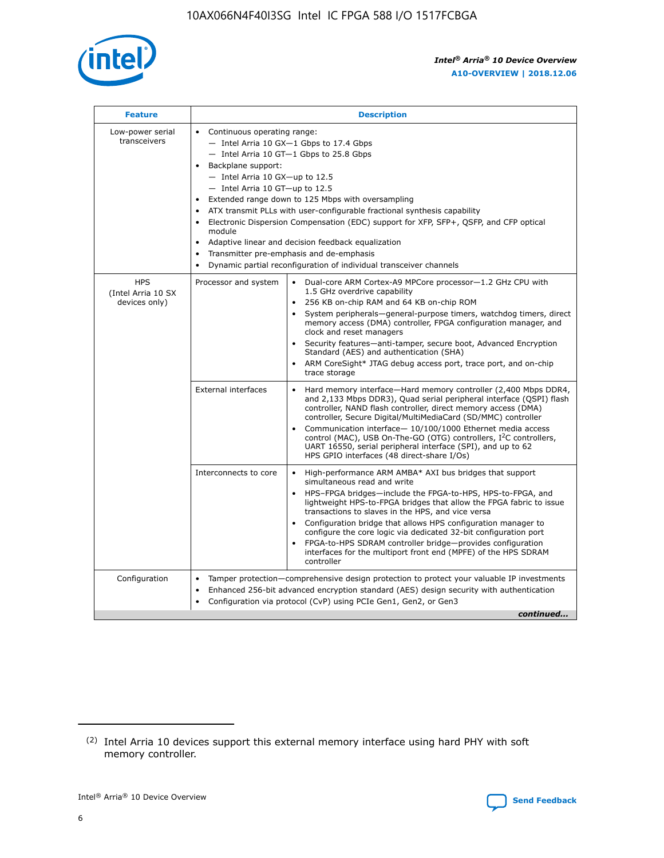

| <b>Feature</b>                                    | <b>Description</b>                                                                                                                                                                                                                                                                                                                                                                                                                                                                                                                                                                                                                                      |
|---------------------------------------------------|---------------------------------------------------------------------------------------------------------------------------------------------------------------------------------------------------------------------------------------------------------------------------------------------------------------------------------------------------------------------------------------------------------------------------------------------------------------------------------------------------------------------------------------------------------------------------------------------------------------------------------------------------------|
| Low-power serial<br>transceivers                  | • Continuous operating range:<br>- Intel Arria 10 GX-1 Gbps to 17.4 Gbps<br>- Intel Arria 10 GT-1 Gbps to 25.8 Gbps<br>Backplane support:<br>$-$ Intel Arria 10 GX-up to 12.5<br>- Intel Arria 10 GT-up to 12.5<br>Extended range down to 125 Mbps with oversampling<br>ATX transmit PLLs with user-configurable fractional synthesis capability<br>• Electronic Dispersion Compensation (EDC) support for XFP, SFP+, QSFP, and CFP optical<br>module<br>Adaptive linear and decision feedback equalization<br>$\bullet$<br>Transmitter pre-emphasis and de-emphasis<br>$\bullet$<br>Dynamic partial reconfiguration of individual transceiver channels |
| <b>HPS</b><br>(Intel Arria 10 SX<br>devices only) | Processor and system<br>Dual-core ARM Cortex-A9 MPCore processor-1.2 GHz CPU with<br>$\bullet$<br>1.5 GHz overdrive capability<br>• 256 KB on-chip RAM and 64 KB on-chip ROM<br>System peripherals-general-purpose timers, watchdog timers, direct<br>memory access (DMA) controller, FPGA configuration manager, and<br>clock and reset managers<br>• Security features—anti-tamper, secure boot, Advanced Encryption<br>Standard (AES) and authentication (SHA)<br>ARM CoreSight* JTAG debug access port, trace port, and on-chip<br>trace storage                                                                                                    |
|                                                   | <b>External interfaces</b><br>Hard memory interface—Hard memory controller (2,400 Mbps DDR4,<br>$\bullet$<br>and 2,133 Mbps DDR3), Quad serial peripheral interface (QSPI) flash<br>controller, NAND flash controller, direct memory access (DMA)<br>controller, Secure Digital/MultiMediaCard (SD/MMC) controller<br>Communication interface-10/100/1000 Ethernet media access<br>control (MAC), USB On-The-GO (OTG) controllers, I <sup>2</sup> C controllers,<br>UART 16550, serial peripheral interface (SPI), and up to 62<br>HPS GPIO interfaces (48 direct-share I/Os)                                                                           |
|                                                   | High-performance ARM AMBA* AXI bus bridges that support<br>Interconnects to core<br>$\bullet$<br>simultaneous read and write<br>HPS-FPGA bridges—include the FPGA-to-HPS, HPS-to-FPGA, and<br>lightweight HPS-to-FPGA bridges that allow the FPGA fabric to issue<br>transactions to slaves in the HPS, and vice versa<br>Configuration bridge that allows HPS configuration manager to<br>configure the core logic via dedicated 32-bit configuration port<br>FPGA-to-HPS SDRAM controller bridge-provides configuration<br>interfaces for the multiport front end (MPFE) of the HPS SDRAM<br>controller                                               |
| Configuration                                     | Tamper protection—comprehensive design protection to protect your valuable IP investments<br>Enhanced 256-bit advanced encryption standard (AES) design security with authentication<br>٠<br>Configuration via protocol (CvP) using PCIe Gen1, Gen2, or Gen3<br>continued                                                                                                                                                                                                                                                                                                                                                                               |

<sup>(2)</sup> Intel Arria 10 devices support this external memory interface using hard PHY with soft memory controller.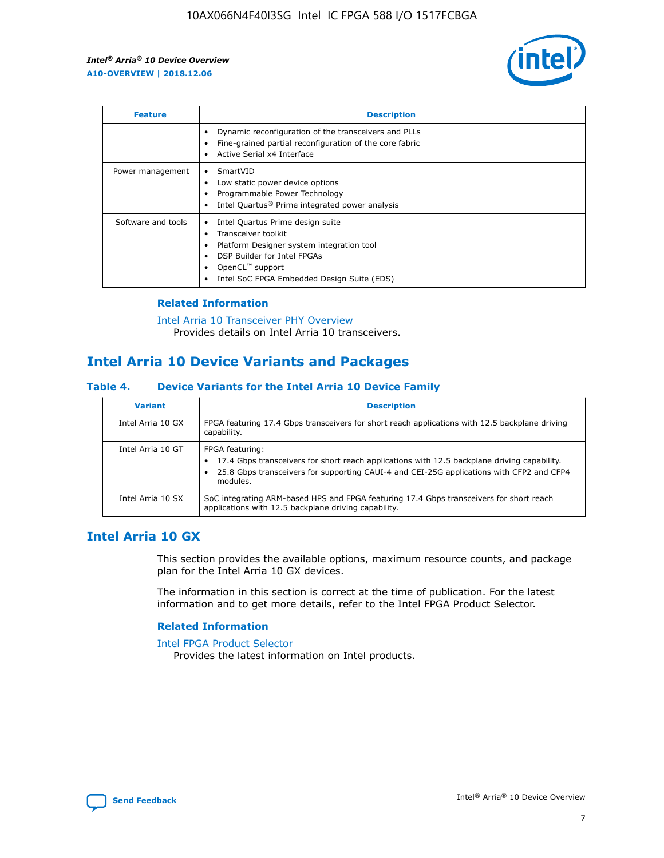

| <b>Feature</b>     | <b>Description</b>                                                                                                                                                                                               |
|--------------------|------------------------------------------------------------------------------------------------------------------------------------------------------------------------------------------------------------------|
|                    | Dynamic reconfiguration of the transceivers and PLLs<br>Fine-grained partial reconfiguration of the core fabric<br>Active Serial x4 Interface<br>$\bullet$                                                       |
| Power management   | SmartVID<br>Low static power device options<br>Programmable Power Technology<br>Intel Quartus <sup>®</sup> Prime integrated power analysis                                                                       |
| Software and tools | Intel Quartus Prime design suite<br>Transceiver toolkit<br>Platform Designer system integration tool<br>DSP Builder for Intel FPGAs<br>OpenCL <sup>™</sup> support<br>Intel SoC FPGA Embedded Design Suite (EDS) |

## **Related Information**

[Intel Arria 10 Transceiver PHY Overview](https://www.intel.com/content/www/us/en/programmable/documentation/nik1398707230472.html#nik1398706768037) Provides details on Intel Arria 10 transceivers.

## **Intel Arria 10 Device Variants and Packages**

#### **Table 4. Device Variants for the Intel Arria 10 Device Family**

| <b>Variant</b>    | <b>Description</b>                                                                                                                                                                                                     |
|-------------------|------------------------------------------------------------------------------------------------------------------------------------------------------------------------------------------------------------------------|
| Intel Arria 10 GX | FPGA featuring 17.4 Gbps transceivers for short reach applications with 12.5 backplane driving<br>capability.                                                                                                          |
| Intel Arria 10 GT | FPGA featuring:<br>17.4 Gbps transceivers for short reach applications with 12.5 backplane driving capability.<br>25.8 Gbps transceivers for supporting CAUI-4 and CEI-25G applications with CFP2 and CFP4<br>modules. |
| Intel Arria 10 SX | SoC integrating ARM-based HPS and FPGA featuring 17.4 Gbps transceivers for short reach<br>applications with 12.5 backplane driving capability.                                                                        |

## **Intel Arria 10 GX**

This section provides the available options, maximum resource counts, and package plan for the Intel Arria 10 GX devices.

The information in this section is correct at the time of publication. For the latest information and to get more details, refer to the Intel FPGA Product Selector.

#### **Related Information**

#### [Intel FPGA Product Selector](http://www.altera.com/products/selector/psg-selector.html) Provides the latest information on Intel products.

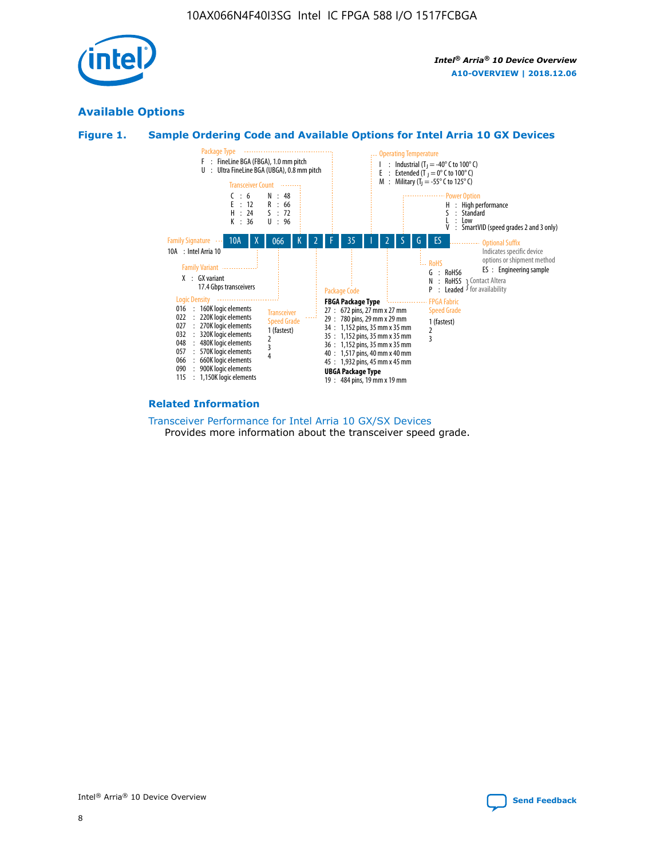

## **Available Options**





#### **Related Information**

[Transceiver Performance for Intel Arria 10 GX/SX Devices](https://www.intel.com/content/www/us/en/programmable/documentation/mcn1413182292568.html#mcn1413213965502) Provides more information about the transceiver speed grade.

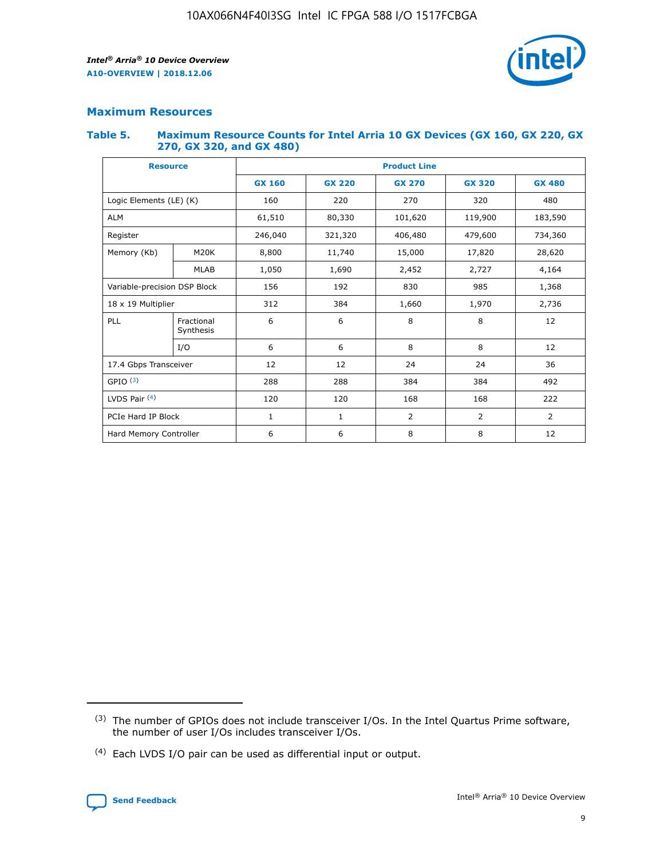

## **Maximum Resources**

#### **Table 5. Maximum Resource Counts for Intel Arria 10 GX Devices (GX 160, GX 220, GX 270, GX 320, and GX 480)**

| <b>Resource</b>         |                              | <b>Product Line</b> |                                                 |                |                |                |  |  |  |
|-------------------------|------------------------------|---------------------|-------------------------------------------------|----------------|----------------|----------------|--|--|--|
|                         |                              | <b>GX 160</b>       | <b>GX 220</b><br><b>GX 270</b><br><b>GX 320</b> |                |                | <b>GX 480</b>  |  |  |  |
| Logic Elements (LE) (K) |                              | 160                 | 220                                             | 270            | 320            | 480            |  |  |  |
| <b>ALM</b>              |                              | 61,510              | 80,330                                          | 101,620        | 119,900        | 183,590        |  |  |  |
| Register                |                              | 246,040             | 321,320                                         | 406,480        | 479,600        | 734,360        |  |  |  |
| Memory (Kb)             | M <sub>20</sub> K            | 8,800               | 11,740                                          | 15,000         | 17,820         | 28,620         |  |  |  |
|                         | <b>MLAB</b>                  | 1,050               | 1,690                                           | 2,452          | 2,727          | 4,164          |  |  |  |
|                         | Variable-precision DSP Block |                     | 192                                             | 985<br>830     |                | 1,368          |  |  |  |
| 18 x 19 Multiplier      |                              | 312                 | 384                                             | 1,660<br>1,970 |                | 2,736          |  |  |  |
| PLL                     | Fractional<br>Synthesis      | 6                   | 6                                               | 8              | 8              | 12             |  |  |  |
|                         | I/O                          | 6                   | 6                                               | 8              | 8              | 12             |  |  |  |
| 17.4 Gbps Transceiver   |                              | 12                  | 12                                              | 24             | 24             | 36             |  |  |  |
| GPIO <sup>(3)</sup>     |                              | 288                 | 288                                             | 384            | 384            | 492            |  |  |  |
| LVDS Pair $(4)$         |                              | 120                 | 120                                             | 168            | 168            | 222            |  |  |  |
| PCIe Hard IP Block      |                              | $\mathbf{1}$        | 1                                               | $\overline{2}$ | $\overline{2}$ | $\overline{2}$ |  |  |  |
| Hard Memory Controller  |                              | 6                   | 6                                               | 8              | 8              | 12             |  |  |  |

<sup>(4)</sup> Each LVDS I/O pair can be used as differential input or output.



<sup>(3)</sup> The number of GPIOs does not include transceiver I/Os. In the Intel Quartus Prime software, the number of user I/Os includes transceiver I/Os.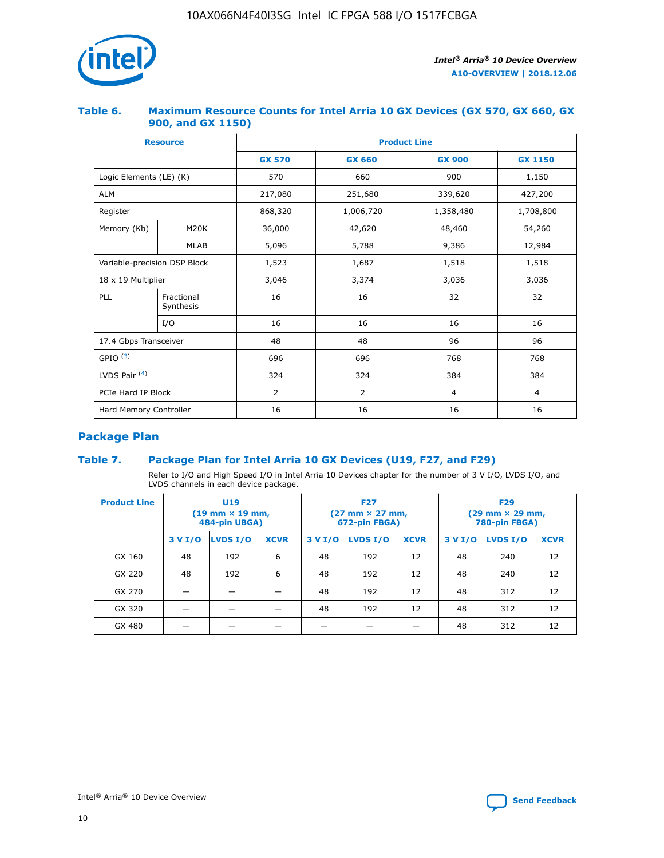

## **Table 6. Maximum Resource Counts for Intel Arria 10 GX Devices (GX 570, GX 660, GX 900, and GX 1150)**

|                              | <b>Resource</b>         | <b>Product Line</b> |                |                |                |  |  |  |
|------------------------------|-------------------------|---------------------|----------------|----------------|----------------|--|--|--|
|                              |                         | <b>GX 570</b>       | <b>GX 660</b>  |                | <b>GX 1150</b> |  |  |  |
| Logic Elements (LE) (K)      |                         | 570                 | 660            | 900            | 1,150          |  |  |  |
| <b>ALM</b>                   |                         | 217,080             | 251,680        | 339,620        | 427,200        |  |  |  |
| Register                     |                         | 868,320             | 1,006,720      | 1,358,480      | 1,708,800      |  |  |  |
| Memory (Kb)                  | <b>M20K</b>             | 36,000              | 42,620         | 48,460         | 54,260         |  |  |  |
|                              | <b>MLAB</b>             | 5,096               | 5,788<br>9,386 |                | 12,984         |  |  |  |
| Variable-precision DSP Block |                         | 1,523               | 1,687          | 1,518          | 1,518          |  |  |  |
|                              | 18 x 19 Multiplier      |                     | 3,374          | 3,036          | 3,036          |  |  |  |
| PLL                          | Fractional<br>Synthesis | 16                  | 16             | 32             | 32             |  |  |  |
|                              | I/O                     | 16                  | 16             | 16             | 16             |  |  |  |
| 17.4 Gbps Transceiver        |                         | 48                  | 48             | 96             | 96             |  |  |  |
| GPIO <sup>(3)</sup>          |                         | 696                 | 696            | 768            | 768            |  |  |  |
| LVDS Pair $(4)$              |                         | 324                 | 324<br>384     |                | 384            |  |  |  |
| PCIe Hard IP Block           |                         | 2                   | $\overline{2}$ | $\overline{4}$ | $\overline{4}$ |  |  |  |
| Hard Memory Controller       |                         | 16                  | 16             | 16             | 16             |  |  |  |

## **Package Plan**

## **Table 7. Package Plan for Intel Arria 10 GX Devices (U19, F27, and F29)**

Refer to I/O and High Speed I/O in Intel Arria 10 Devices chapter for the number of 3 V I/O, LVDS I/O, and LVDS channels in each device package.

| <b>Product Line</b> | <b>U19</b><br>$(19 \text{ mm} \times 19 \text{ mm})$<br>484-pin UBGA) |          |             |         | <b>F27</b><br>(27 mm × 27 mm,<br>672-pin FBGA) |             | <b>F29</b><br>(29 mm × 29 mm,<br>780-pin FBGA) |          |             |  |
|---------------------|-----------------------------------------------------------------------|----------|-------------|---------|------------------------------------------------|-------------|------------------------------------------------|----------|-------------|--|
|                     | 3 V I/O                                                               | LVDS I/O | <b>XCVR</b> | 3 V I/O | <b>LVDS I/O</b>                                | <b>XCVR</b> | 3 V I/O                                        | LVDS I/O | <b>XCVR</b> |  |
| GX 160              | 48                                                                    | 192      | 6           | 48      | 192                                            | 12          | 48                                             | 240      | 12          |  |
| GX 220              | 48                                                                    | 192      | 6           | 48      | 192                                            | 12          | 48                                             | 240      | 12          |  |
| GX 270              |                                                                       |          |             | 48      | 192                                            | 12          | 48                                             | 312      | 12          |  |
| GX 320              |                                                                       |          |             | 48      | 192                                            | 12          | 48                                             | 312      | 12          |  |
| GX 480              |                                                                       |          |             |         |                                                |             | 48                                             | 312      | 12          |  |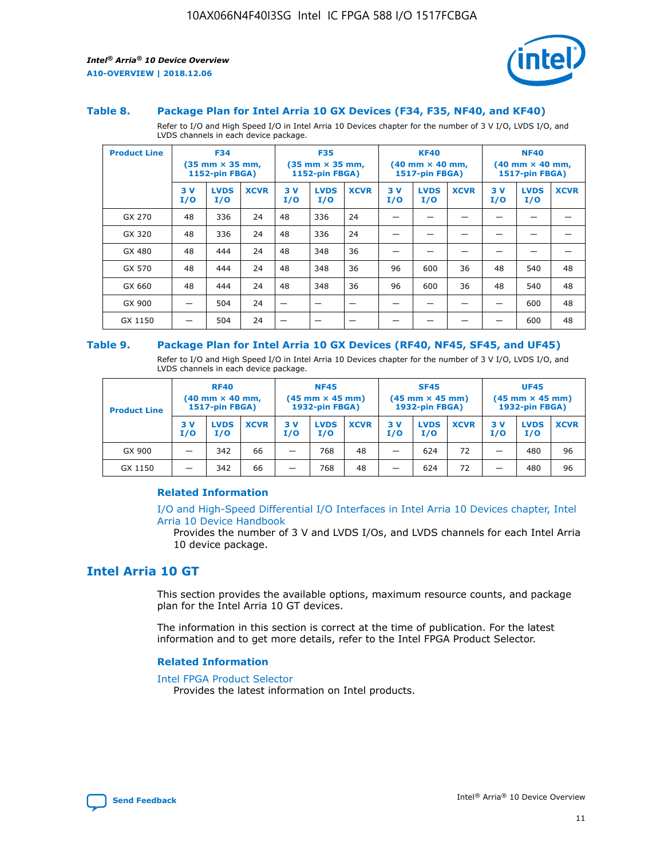

#### **Table 8. Package Plan for Intel Arria 10 GX Devices (F34, F35, NF40, and KF40)**

Refer to I/O and High Speed I/O in Intel Arria 10 Devices chapter for the number of 3 V I/O, LVDS I/O, and LVDS channels in each device package.

| <b>Product Line</b> | <b>F34</b><br>$(35 \text{ mm} \times 35 \text{ mm})$<br><b>1152-pin FBGA)</b> |                    | <b>F35</b><br>$(35 \text{ mm} \times 35 \text{ mm})$<br><b>1152-pin FBGA)</b> |           | <b>KF40</b><br>$(40$ mm $\times$ 40 mm,<br>1517-pin FBGA) |             |           | <b>NF40</b><br>$(40 \text{ mm} \times 40 \text{ mm})$<br>1517-pin FBGA) |             |           |                    |             |
|---------------------|-------------------------------------------------------------------------------|--------------------|-------------------------------------------------------------------------------|-----------|-----------------------------------------------------------|-------------|-----------|-------------------------------------------------------------------------|-------------|-----------|--------------------|-------------|
|                     | 3V<br>I/O                                                                     | <b>LVDS</b><br>I/O | <b>XCVR</b>                                                                   | 3V<br>I/O | <b>LVDS</b><br>I/O                                        | <b>XCVR</b> | 3V<br>I/O | <b>LVDS</b><br>I/O                                                      | <b>XCVR</b> | 3V<br>I/O | <b>LVDS</b><br>I/O | <b>XCVR</b> |
| GX 270              | 48                                                                            | 336                | 24                                                                            | 48        | 336                                                       | 24          |           |                                                                         |             |           |                    |             |
| GX 320              | 48                                                                            | 336                | 24                                                                            | 48        | 336                                                       | 24          |           |                                                                         |             |           |                    |             |
| GX 480              | 48                                                                            | 444                | 24                                                                            | 48        | 348                                                       | 36          |           |                                                                         |             |           |                    |             |
| GX 570              | 48                                                                            | 444                | 24                                                                            | 48        | 348                                                       | 36          | 96        | 600                                                                     | 36          | 48        | 540                | 48          |
| GX 660              | 48                                                                            | 444                | 24                                                                            | 48        | 348                                                       | 36          | 96        | 600                                                                     | 36          | 48        | 540                | 48          |
| GX 900              |                                                                               | 504                | 24                                                                            | —         |                                                           | -           |           |                                                                         |             |           | 600                | 48          |
| GX 1150             |                                                                               | 504                | 24                                                                            |           |                                                           |             |           |                                                                         |             |           | 600                | 48          |

#### **Table 9. Package Plan for Intel Arria 10 GX Devices (RF40, NF45, SF45, and UF45)**

Refer to I/O and High Speed I/O in Intel Arria 10 Devices chapter for the number of 3 V I/O, LVDS I/O, and LVDS channels in each device package.

| <b>Product Line</b> | <b>RF40</b><br>$(40$ mm $\times$ 40 mm,<br>1517-pin FBGA) |                    | <b>NF45</b><br>$(45 \text{ mm} \times 45 \text{ mm})$<br><b>1932-pin FBGA)</b> |            |                    | <b>SF45</b><br>$(45 \text{ mm} \times 45 \text{ mm})$<br><b>1932-pin FBGA)</b> |            |                    | <b>UF45</b><br>$(45 \text{ mm} \times 45 \text{ mm})$<br><b>1932-pin FBGA)</b> |           |                    |             |
|---------------------|-----------------------------------------------------------|--------------------|--------------------------------------------------------------------------------|------------|--------------------|--------------------------------------------------------------------------------|------------|--------------------|--------------------------------------------------------------------------------|-----------|--------------------|-------------|
|                     | 3V<br>I/O                                                 | <b>LVDS</b><br>I/O | <b>XCVR</b>                                                                    | 3 V<br>I/O | <b>LVDS</b><br>I/O | <b>XCVR</b>                                                                    | 3 V<br>I/O | <b>LVDS</b><br>I/O | <b>XCVR</b>                                                                    | 3V<br>I/O | <b>LVDS</b><br>I/O | <b>XCVR</b> |
| GX 900              |                                                           | 342                | 66                                                                             | _          | 768                | 48                                                                             |            | 624                | 72                                                                             |           | 480                | 96          |
| GX 1150             |                                                           | 342                | 66                                                                             | _          | 768                | 48                                                                             |            | 624                | 72                                                                             |           | 480                | 96          |

#### **Related Information**

[I/O and High-Speed Differential I/O Interfaces in Intel Arria 10 Devices chapter, Intel](https://www.intel.com/content/www/us/en/programmable/documentation/sam1403482614086.html#sam1403482030321) [Arria 10 Device Handbook](https://www.intel.com/content/www/us/en/programmable/documentation/sam1403482614086.html#sam1403482030321)

Provides the number of 3 V and LVDS I/Os, and LVDS channels for each Intel Arria 10 device package.

## **Intel Arria 10 GT**

This section provides the available options, maximum resource counts, and package plan for the Intel Arria 10 GT devices.

The information in this section is correct at the time of publication. For the latest information and to get more details, refer to the Intel FPGA Product Selector.

#### **Related Information**

#### [Intel FPGA Product Selector](http://www.altera.com/products/selector/psg-selector.html)

Provides the latest information on Intel products.

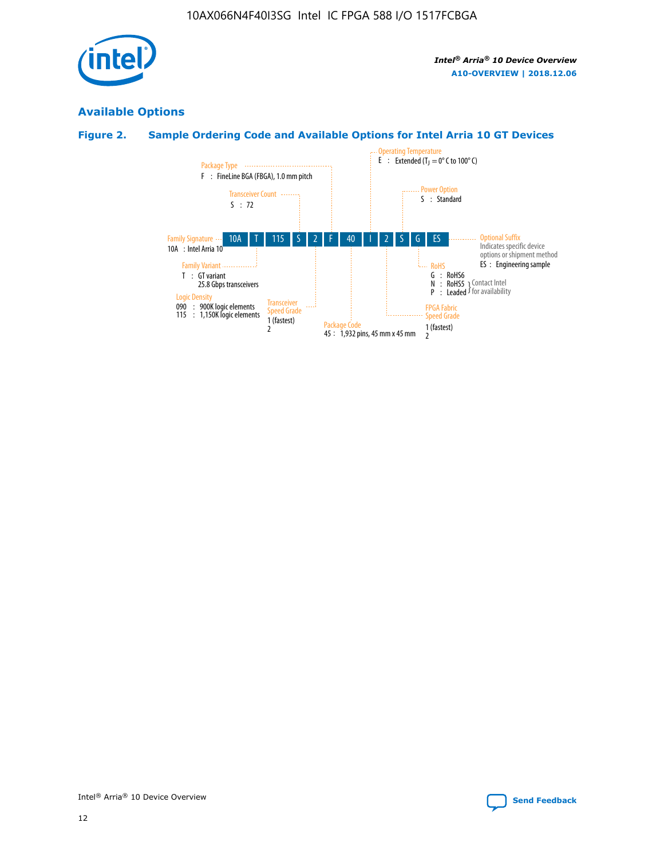

## **Available Options**

## **Figure 2. Sample Ordering Code and Available Options for Intel Arria 10 GT Devices**

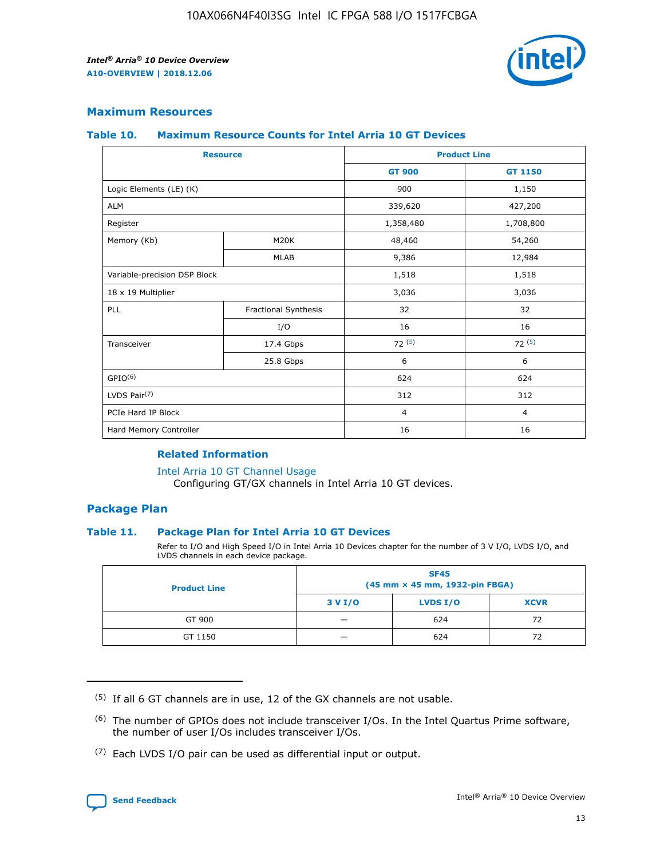

## **Maximum Resources**

#### **Table 10. Maximum Resource Counts for Intel Arria 10 GT Devices**

|                              | <b>Resource</b>      | <b>Product Line</b> |                |  |
|------------------------------|----------------------|---------------------|----------------|--|
|                              |                      | <b>GT 900</b>       | GT 1150        |  |
| Logic Elements (LE) (K)      |                      | 900                 | 1,150          |  |
| <b>ALM</b>                   |                      | 339,620             | 427,200        |  |
| Register                     |                      | 1,358,480           | 1,708,800      |  |
| Memory (Kb)                  | M20K                 | 48,460              | 54,260         |  |
|                              | <b>MLAB</b>          | 9,386               | 12,984         |  |
| Variable-precision DSP Block |                      | 1,518               | 1,518          |  |
| 18 x 19 Multiplier           |                      | 3,036               | 3,036          |  |
| PLL                          | Fractional Synthesis | 32                  | 32             |  |
|                              | I/O                  | 16                  | 16             |  |
| Transceiver                  | 17.4 Gbps            | 72(5)               | 72(5)          |  |
|                              | 25.8 Gbps            | 6                   | 6              |  |
| GPIO <sup>(6)</sup>          |                      | 624                 | 624            |  |
| LVDS Pair $(7)$              |                      | 312                 | 312            |  |
| PCIe Hard IP Block           |                      | $\overline{4}$      | $\overline{4}$ |  |
| Hard Memory Controller       |                      | 16                  | 16             |  |

#### **Related Information**

#### [Intel Arria 10 GT Channel Usage](https://www.intel.com/content/www/us/en/programmable/documentation/nik1398707230472.html#nik1398707008178)

Configuring GT/GX channels in Intel Arria 10 GT devices.

## **Package Plan**

#### **Table 11. Package Plan for Intel Arria 10 GT Devices**

Refer to I/O and High Speed I/O in Intel Arria 10 Devices chapter for the number of 3 V I/O, LVDS I/O, and LVDS channels in each device package.

| <b>Product Line</b> | <b>SF45</b><br>(45 mm × 45 mm, 1932-pin FBGA) |                 |             |  |  |  |
|---------------------|-----------------------------------------------|-----------------|-------------|--|--|--|
|                     | 3 V I/O                                       | <b>LVDS I/O</b> | <b>XCVR</b> |  |  |  |
| GT 900              |                                               | 624             | 72          |  |  |  |
| GT 1150             |                                               | 624             | 72          |  |  |  |

<sup>(7)</sup> Each LVDS I/O pair can be used as differential input or output.



 $(5)$  If all 6 GT channels are in use, 12 of the GX channels are not usable.

<sup>(6)</sup> The number of GPIOs does not include transceiver I/Os. In the Intel Quartus Prime software, the number of user I/Os includes transceiver I/Os.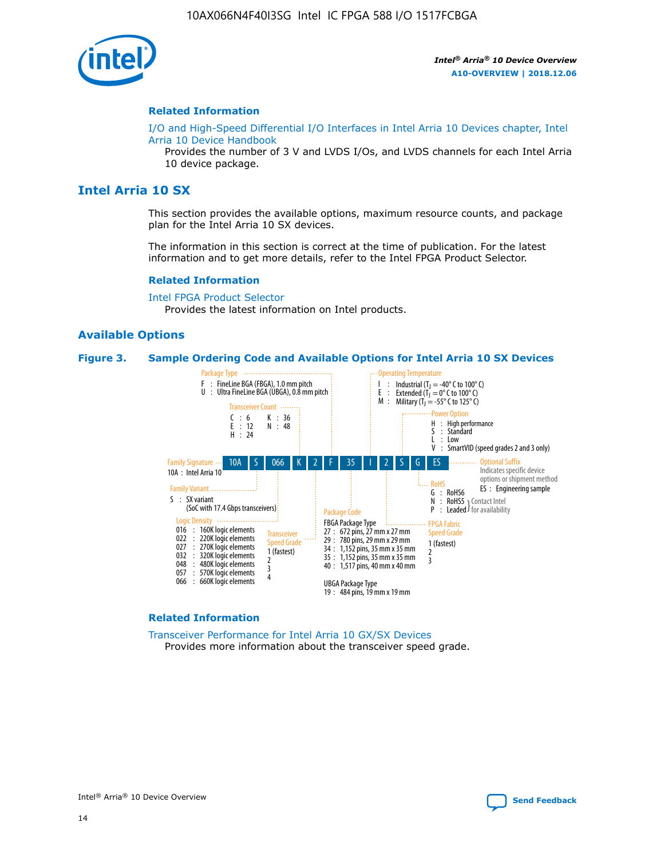

#### **Related Information**

[I/O and High-Speed Differential I/O Interfaces in Intel Arria 10 Devices chapter, Intel](https://www.intel.com/content/www/us/en/programmable/documentation/sam1403482614086.html#sam1403482030321) [Arria 10 Device Handbook](https://www.intel.com/content/www/us/en/programmable/documentation/sam1403482614086.html#sam1403482030321)

Provides the number of 3 V and LVDS I/Os, and LVDS channels for each Intel Arria 10 device package.

## **Intel Arria 10 SX**

This section provides the available options, maximum resource counts, and package plan for the Intel Arria 10 SX devices.

The information in this section is correct at the time of publication. For the latest information and to get more details, refer to the Intel FPGA Product Selector.

#### **Related Information**

[Intel FPGA Product Selector](http://www.altera.com/products/selector/psg-selector.html) Provides the latest information on Intel products.

#### **Available Options**

#### **Figure 3. Sample Ordering Code and Available Options for Intel Arria 10 SX Devices**



#### **Related Information**

[Transceiver Performance for Intel Arria 10 GX/SX Devices](https://www.intel.com/content/www/us/en/programmable/documentation/mcn1413182292568.html#mcn1413213965502) Provides more information about the transceiver speed grade.

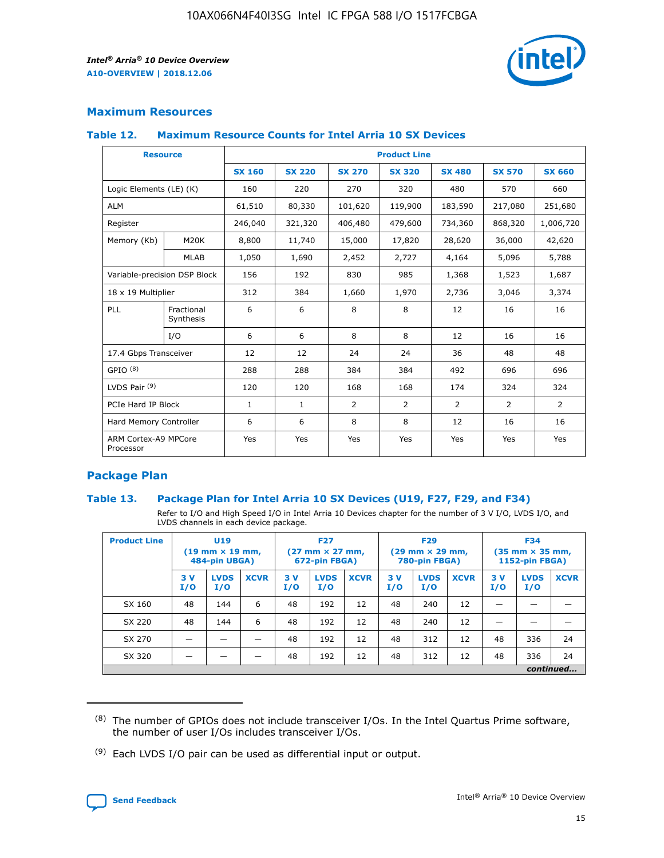

## **Maximum Resources**

#### **Table 12. Maximum Resource Counts for Intel Arria 10 SX Devices**

| <b>Resource</b>                   |                         | <b>Product Line</b> |               |                |                |                |                |                |  |  |  |
|-----------------------------------|-------------------------|---------------------|---------------|----------------|----------------|----------------|----------------|----------------|--|--|--|
|                                   |                         | <b>SX 160</b>       | <b>SX 220</b> | <b>SX 270</b>  | <b>SX 320</b>  | <b>SX 480</b>  | <b>SX 570</b>  | <b>SX 660</b>  |  |  |  |
| Logic Elements (LE) (K)           |                         | 160                 | 220           | 270            | 320            | 480            | 570            | 660            |  |  |  |
| <b>ALM</b>                        |                         | 61,510              | 80,330        | 101,620        | 119,900        | 183,590        | 217,080        | 251,680        |  |  |  |
| Register                          |                         | 246,040             | 321,320       | 406,480        | 479,600        | 734,360        | 868,320        | 1,006,720      |  |  |  |
| Memory (Kb)                       | M <sub>20</sub> K       | 8,800               | 11,740        | 15,000         | 17,820         | 28,620         | 36,000         | 42,620         |  |  |  |
|                                   | <b>MLAB</b>             | 1,050               | 1,690         | 2,452          | 2,727          | 4,164          | 5,096          | 5,788          |  |  |  |
| Variable-precision DSP Block      |                         | 156                 | 192           | 830            | 985            | 1,368          | 1,523          | 1,687          |  |  |  |
| 18 x 19 Multiplier                |                         | 312                 | 384           | 1,660          | 1,970          | 2,736          | 3,046          | 3,374          |  |  |  |
| PLL                               | Fractional<br>Synthesis | 6                   | 6             | 8              | 8              | 12             | 16             | 16             |  |  |  |
|                                   | I/O                     | 6                   | 6             | 8              | 8              | 12             | 16             | 16             |  |  |  |
| 17.4 Gbps Transceiver             |                         | 12                  | 12            | 24             | 24             | 36             | 48             | 48             |  |  |  |
| GPIO <sup>(8)</sup>               |                         | 288                 | 288           | 384            | 384            | 492            | 696            | 696            |  |  |  |
| LVDS Pair $(9)$                   |                         | 120                 | 120           | 168            | 168            | 174            | 324            | 324            |  |  |  |
| PCIe Hard IP Block                |                         | $\mathbf{1}$        | $\mathbf{1}$  | $\overline{2}$ | $\overline{2}$ | $\overline{2}$ | $\overline{2}$ | $\overline{2}$ |  |  |  |
| Hard Memory Controller            |                         | 6                   | 6             | 8              | 8              | 12             | 16             | 16             |  |  |  |
| ARM Cortex-A9 MPCore<br>Processor |                         | Yes                 | Yes           | Yes            | Yes            | Yes            | Yes            | <b>Yes</b>     |  |  |  |

## **Package Plan**

#### **Table 13. Package Plan for Intel Arria 10 SX Devices (U19, F27, F29, and F34)**

Refer to I/O and High Speed I/O in Intel Arria 10 Devices chapter for the number of 3 V I/O, LVDS I/O, and LVDS channels in each device package.

| <b>Product Line</b> | <b>U19</b><br>$(19 \text{ mm} \times 19 \text{ mm})$<br>484-pin UBGA) |                    | <b>F27</b><br>$(27 \text{ mm} \times 27 \text{ mm})$<br>672-pin FBGA) |           | <b>F29</b><br>$(29$ mm $\times$ 29 mm,<br>780-pin FBGA) |             |            | <b>F34</b><br>$(35 \text{ mm} \times 35 \text{ mm})$<br>1152-pin FBGA) |             |           |                    |             |
|---------------------|-----------------------------------------------------------------------|--------------------|-----------------------------------------------------------------------|-----------|---------------------------------------------------------|-------------|------------|------------------------------------------------------------------------|-------------|-----------|--------------------|-------------|
|                     | 3V<br>I/O                                                             | <b>LVDS</b><br>I/O | <b>XCVR</b>                                                           | 3V<br>I/O | <b>LVDS</b><br>I/O                                      | <b>XCVR</b> | 3 V<br>I/O | <b>LVDS</b><br>I/O                                                     | <b>XCVR</b> | 3V<br>I/O | <b>LVDS</b><br>I/O | <b>XCVR</b> |
| SX 160              | 48                                                                    | 144                | 6                                                                     | 48        | 192                                                     | 12          | 48         | 240                                                                    | 12          | –         |                    |             |
| SX 220              | 48                                                                    | 144                | 6                                                                     | 48        | 192                                                     | 12          | 48         | 240                                                                    | 12          |           |                    |             |
| SX 270              |                                                                       |                    |                                                                       | 48        | 192                                                     | 12          | 48         | 312                                                                    | 12          | 48        | 336                | 24          |
| SX 320              |                                                                       |                    |                                                                       | 48        | 192                                                     | 12          | 48         | 312                                                                    | 12          | 48        | 336                | 24          |
|                     | continued                                                             |                    |                                                                       |           |                                                         |             |            |                                                                        |             |           |                    |             |

 $(8)$  The number of GPIOs does not include transceiver I/Os. In the Intel Quartus Prime software, the number of user I/Os includes transceiver I/Os.

 $(9)$  Each LVDS I/O pair can be used as differential input or output.

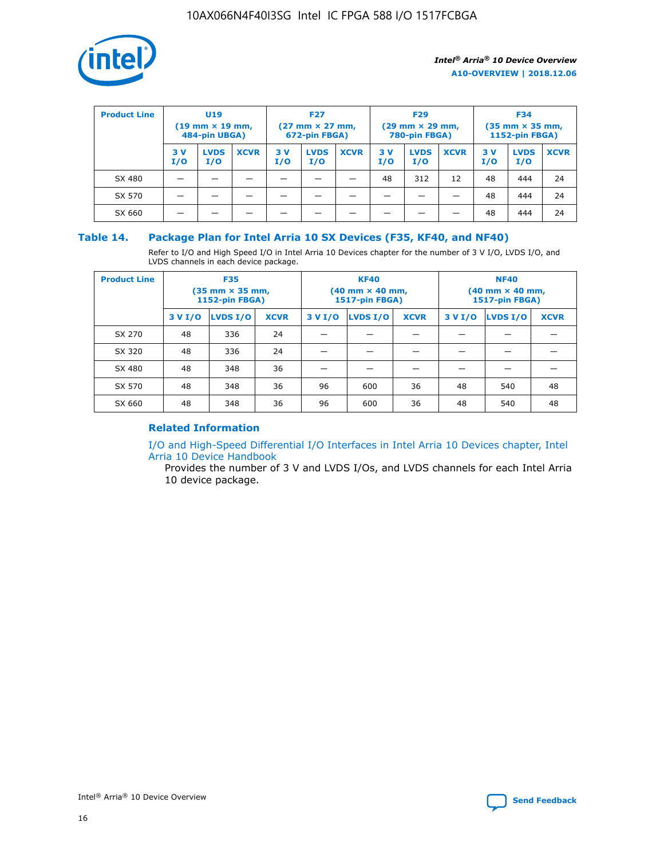

| <b>Product Line</b> | U <sub>19</sub><br>$(19 \text{ mm} \times 19 \text{ mm})$<br>484-pin UBGA) |                    | <b>F27</b><br>$(27 \text{ mm} \times 27 \text{ mm})$<br>672-pin FBGA) |           | <b>F29</b><br>$(29$ mm $\times$ 29 mm,<br>780-pin FBGA) |             |           | <b>F34</b><br>$(35$ mm $\times$ 35 mm,<br><b>1152-pin FBGA)</b> |             |            |                    |             |
|---------------------|----------------------------------------------------------------------------|--------------------|-----------------------------------------------------------------------|-----------|---------------------------------------------------------|-------------|-----------|-----------------------------------------------------------------|-------------|------------|--------------------|-------------|
|                     | 3 V<br>I/O                                                                 | <b>LVDS</b><br>I/O | <b>XCVR</b>                                                           | 3V<br>I/O | <b>LVDS</b><br>I/O                                      | <b>XCVR</b> | 3V<br>I/O | <b>LVDS</b><br>I/O                                              | <b>XCVR</b> | 3 V<br>I/O | <b>LVDS</b><br>I/O | <b>XCVR</b> |
| SX 480              |                                                                            |                    |                                                                       |           |                                                         |             | 48        | 312                                                             | 12          | 48         | 444                | 24          |
| SX 570              |                                                                            |                    |                                                                       |           |                                                         |             |           |                                                                 |             | 48         | 444                | 24          |
| SX 660              |                                                                            |                    |                                                                       |           |                                                         |             |           |                                                                 |             | 48         | 444                | 24          |

## **Table 14. Package Plan for Intel Arria 10 SX Devices (F35, KF40, and NF40)**

Refer to I/O and High Speed I/O in Intel Arria 10 Devices chapter for the number of 3 V I/O, LVDS I/O, and LVDS channels in each device package.

| <b>Product Line</b> | <b>F35</b><br>(35 mm × 35 mm,<br>1152-pin FBGA) |          |             |                                           | <b>KF40</b><br>(40 mm × 40 mm,<br>1517-pin FBGA) |    | <b>NF40</b><br>(40 mm × 40 mm,<br>1517-pin FBGA) |          |             |  |
|---------------------|-------------------------------------------------|----------|-------------|-------------------------------------------|--------------------------------------------------|----|--------------------------------------------------|----------|-------------|--|
|                     | 3 V I/O                                         | LVDS I/O | <b>XCVR</b> | <b>LVDS I/O</b><br>3 V I/O<br><b>XCVR</b> |                                                  |    | 3 V I/O                                          | LVDS I/O | <b>XCVR</b> |  |
| SX 270              | 48                                              | 336      | 24          |                                           |                                                  |    |                                                  |          |             |  |
| SX 320              | 48                                              | 336      | 24          |                                           |                                                  |    |                                                  |          |             |  |
| SX 480              | 48                                              | 348      | 36          |                                           |                                                  |    |                                                  |          |             |  |
| SX 570              | 48                                              | 348      | 36          | 96                                        | 600                                              | 36 | 48                                               | 540      | 48          |  |
| SX 660              | 48                                              | 348      | 36          | 96                                        | 600                                              | 36 | 48                                               | 540      | 48          |  |

## **Related Information**

[I/O and High-Speed Differential I/O Interfaces in Intel Arria 10 Devices chapter, Intel](https://www.intel.com/content/www/us/en/programmable/documentation/sam1403482614086.html#sam1403482030321) [Arria 10 Device Handbook](https://www.intel.com/content/www/us/en/programmable/documentation/sam1403482614086.html#sam1403482030321)

Provides the number of 3 V and LVDS I/Os, and LVDS channels for each Intel Arria 10 device package.

Intel<sup>®</sup> Arria<sup>®</sup> 10 Device Overview **[Send Feedback](mailto:FPGAtechdocfeedback@intel.com?subject=Feedback%20on%20Intel%20Arria%2010%20Device%20Overview%20(A10-OVERVIEW%202018.12.06)&body=We%20appreciate%20your%20feedback.%20In%20your%20comments,%20also%20specify%20the%20page%20number%20or%20paragraph.%20Thank%20you.)** Send Feedback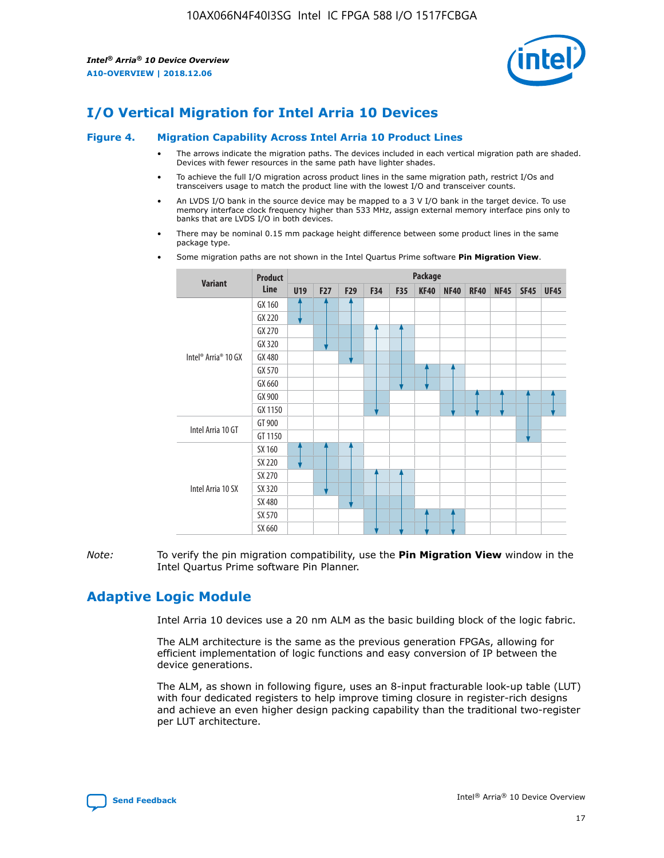

# **I/O Vertical Migration for Intel Arria 10 Devices**

#### **Figure 4. Migration Capability Across Intel Arria 10 Product Lines**

- The arrows indicate the migration paths. The devices included in each vertical migration path are shaded. Devices with fewer resources in the same path have lighter shades.
- To achieve the full I/O migration across product lines in the same migration path, restrict I/Os and transceivers usage to match the product line with the lowest I/O and transceiver counts.
- An LVDS I/O bank in the source device may be mapped to a 3 V I/O bank in the target device. To use memory interface clock frequency higher than 533 MHz, assign external memory interface pins only to banks that are LVDS I/O in both devices.
- There may be nominal 0.15 mm package height difference between some product lines in the same package type.
	- **Variant Product Line Package U19 F27 F29 F34 F35 KF40 NF40 RF40 NF45 SF45 UF45** Intel® Arria® 10 GX GX 160 GX 220 GX 270 GX 320 GX 480 GX 570 GX 660 GX 900 GX 1150 Intel Arria 10 GT GT 900 GT 1150 Intel Arria 10 SX SX 160 SX 220 SX 270 SX 320 SX 480 SX 570 SX 660
- Some migration paths are not shown in the Intel Quartus Prime software **Pin Migration View**.

*Note:* To verify the pin migration compatibility, use the **Pin Migration View** window in the Intel Quartus Prime software Pin Planner.

## **Adaptive Logic Module**

Intel Arria 10 devices use a 20 nm ALM as the basic building block of the logic fabric.

The ALM architecture is the same as the previous generation FPGAs, allowing for efficient implementation of logic functions and easy conversion of IP between the device generations.

The ALM, as shown in following figure, uses an 8-input fracturable look-up table (LUT) with four dedicated registers to help improve timing closure in register-rich designs and achieve an even higher design packing capability than the traditional two-register per LUT architecture.

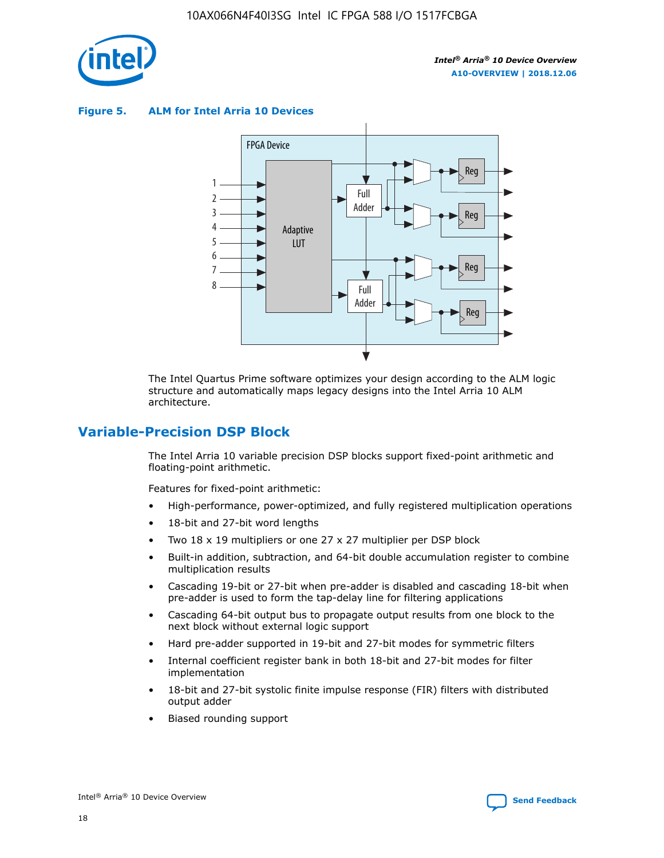

**Figure 5. ALM for Intel Arria 10 Devices**



The Intel Quartus Prime software optimizes your design according to the ALM logic structure and automatically maps legacy designs into the Intel Arria 10 ALM architecture.

## **Variable-Precision DSP Block**

The Intel Arria 10 variable precision DSP blocks support fixed-point arithmetic and floating-point arithmetic.

Features for fixed-point arithmetic:

- High-performance, power-optimized, and fully registered multiplication operations
- 18-bit and 27-bit word lengths
- Two 18 x 19 multipliers or one 27 x 27 multiplier per DSP block
- Built-in addition, subtraction, and 64-bit double accumulation register to combine multiplication results
- Cascading 19-bit or 27-bit when pre-adder is disabled and cascading 18-bit when pre-adder is used to form the tap-delay line for filtering applications
- Cascading 64-bit output bus to propagate output results from one block to the next block without external logic support
- Hard pre-adder supported in 19-bit and 27-bit modes for symmetric filters
- Internal coefficient register bank in both 18-bit and 27-bit modes for filter implementation
- 18-bit and 27-bit systolic finite impulse response (FIR) filters with distributed output adder
- Biased rounding support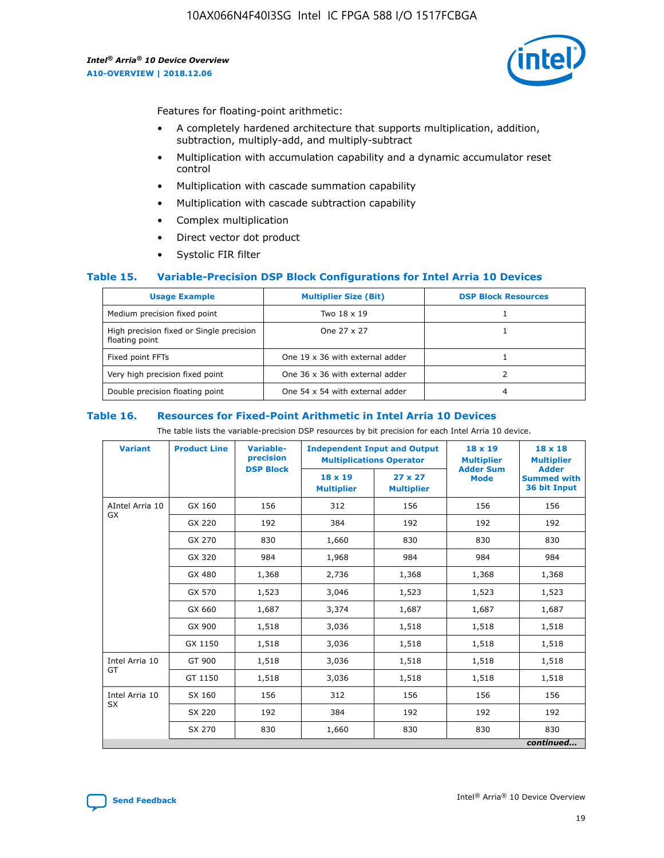

Features for floating-point arithmetic:

- A completely hardened architecture that supports multiplication, addition, subtraction, multiply-add, and multiply-subtract
- Multiplication with accumulation capability and a dynamic accumulator reset control
- Multiplication with cascade summation capability
- Multiplication with cascade subtraction capability
- Complex multiplication
- Direct vector dot product
- Systolic FIR filter

#### **Table 15. Variable-Precision DSP Block Configurations for Intel Arria 10 Devices**

| <b>Usage Example</b>                                       | <b>Multiplier Size (Bit)</b>    | <b>DSP Block Resources</b> |
|------------------------------------------------------------|---------------------------------|----------------------------|
| Medium precision fixed point                               | Two 18 x 19                     |                            |
| High precision fixed or Single precision<br>floating point | One 27 x 27                     |                            |
| Fixed point FFTs                                           | One 19 x 36 with external adder |                            |
| Very high precision fixed point                            | One 36 x 36 with external adder |                            |
| Double precision floating point                            | One 54 x 54 with external adder | 4                          |

#### **Table 16. Resources for Fixed-Point Arithmetic in Intel Arria 10 Devices**

The table lists the variable-precision DSP resources by bit precision for each Intel Arria 10 device.

| <b>Variant</b>  | <b>Product Line</b> | <b>Variable-</b><br>precision<br><b>DSP Block</b> | <b>Independent Input and Output</b><br><b>Multiplications Operator</b> |                                     | 18 x 19<br><b>Multiplier</b><br><b>Adder Sum</b> | $18 \times 18$<br><b>Multiplier</b><br><b>Adder</b> |
|-----------------|---------------------|---------------------------------------------------|------------------------------------------------------------------------|-------------------------------------|--------------------------------------------------|-----------------------------------------------------|
|                 |                     |                                                   | 18 x 19<br><b>Multiplier</b>                                           | $27 \times 27$<br><b>Multiplier</b> | <b>Mode</b>                                      | <b>Summed with</b><br>36 bit Input                  |
| AIntel Arria 10 | GX 160              | 156                                               | 312                                                                    | 156                                 | 156                                              | 156                                                 |
| GX              | GX 220              | 192                                               | 384                                                                    | 192                                 | 192                                              | 192                                                 |
|                 | GX 270              | 830                                               | 1,660                                                                  | 830                                 | 830                                              | 830                                                 |
|                 | GX 320              | 984                                               | 1,968                                                                  | 984                                 | 984                                              | 984                                                 |
|                 | GX 480              | 1,368                                             | 2,736                                                                  | 1,368                               | 1,368                                            | 1,368                                               |
|                 | GX 570              | 1,523                                             | 3,046                                                                  | 1,523                               | 1,523                                            | 1,523                                               |
|                 | GX 660              | 1,687                                             | 3,374                                                                  | 1,687                               | 1,687                                            | 1,687                                               |
|                 | GX 900              | 1,518                                             | 3,036                                                                  | 1,518                               | 1,518                                            | 1,518                                               |
|                 | GX 1150             | 1,518                                             | 3,036                                                                  | 1,518                               | 1,518                                            | 1,518                                               |
| Intel Arria 10  | GT 900              | 1,518                                             | 3,036                                                                  | 1,518                               | 1,518                                            | 1,518                                               |
| GT              | GT 1150             | 1,518                                             | 3,036                                                                  | 1,518                               | 1,518                                            | 1,518                                               |
| Intel Arria 10  | SX 160              | 156                                               | 312                                                                    | 156                                 | 156                                              | 156                                                 |
| <b>SX</b>       | SX 220<br>192       |                                                   | 384                                                                    | 192                                 | 192                                              | 192                                                 |
|                 | SX 270              | 830                                               | 1,660                                                                  | 830                                 | 830                                              | 830                                                 |
|                 |                     |                                                   |                                                                        |                                     |                                                  | continued                                           |

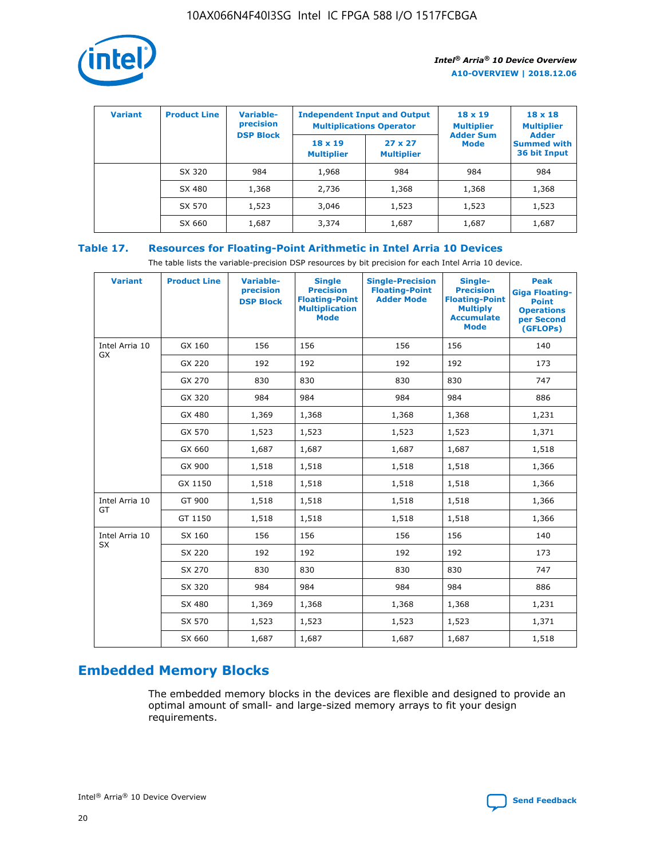

| <b>Variant</b> | <b>Product Line</b> | <b>Variable-</b><br>precision<br><b>DSP Block</b> | <b>Independent Input and Output</b><br><b>Multiplications Operator</b> |                                     | $18 \times 19$<br><b>Multiplier</b><br><b>Adder Sum</b> | $18 \times 18$<br><b>Multiplier</b><br><b>Adder</b> |  |
|----------------|---------------------|---------------------------------------------------|------------------------------------------------------------------------|-------------------------------------|---------------------------------------------------------|-----------------------------------------------------|--|
|                |                     |                                                   | $18 \times 19$<br><b>Multiplier</b>                                    | $27 \times 27$<br><b>Multiplier</b> | <b>Mode</b>                                             | <b>Summed with</b><br>36 bit Input                  |  |
|                | SX 320              | 984                                               | 1,968                                                                  | 984                                 | 984                                                     | 984                                                 |  |
|                | SX 480              | 1,368                                             | 2,736                                                                  | 1,368                               | 1,368                                                   | 1,368                                               |  |
|                | SX 570              | 1,523                                             | 3,046                                                                  | 1,523                               | 1,523                                                   | 1,523                                               |  |
|                | SX 660              | 1,687                                             | 3,374                                                                  | 1,687                               | 1,687                                                   | 1,687                                               |  |

## **Table 17. Resources for Floating-Point Arithmetic in Intel Arria 10 Devices**

The table lists the variable-precision DSP resources by bit precision for each Intel Arria 10 device.

| <b>Variant</b> | <b>Product Line</b> | <b>Variable-</b><br>precision<br><b>DSP Block</b> | <b>Single</b><br><b>Precision</b><br><b>Floating-Point</b><br><b>Multiplication</b><br><b>Mode</b> | <b>Single-Precision</b><br><b>Floating-Point</b><br><b>Adder Mode</b> | Single-<br><b>Precision</b><br><b>Floating-Point</b><br><b>Multiply</b><br><b>Accumulate</b><br><b>Mode</b> | <b>Peak</b><br><b>Giga Floating-</b><br><b>Point</b><br><b>Operations</b><br>per Second<br>(GFLOPs) |
|----------------|---------------------|---------------------------------------------------|----------------------------------------------------------------------------------------------------|-----------------------------------------------------------------------|-------------------------------------------------------------------------------------------------------------|-----------------------------------------------------------------------------------------------------|
| Intel Arria 10 | GX 160              | 156                                               | 156                                                                                                | 156                                                                   | 156                                                                                                         | 140                                                                                                 |
| GX             | GX 220              | 192                                               | 192                                                                                                | 192                                                                   | 192                                                                                                         | 173                                                                                                 |
|                | GX 270              | 830                                               | 830                                                                                                | 830                                                                   | 830                                                                                                         | 747                                                                                                 |
|                | GX 320              | 984                                               | 984                                                                                                | 984                                                                   | 984                                                                                                         | 886                                                                                                 |
|                | GX 480              | 1,369                                             | 1,368                                                                                              | 1,368                                                                 | 1,368                                                                                                       | 1,231                                                                                               |
|                | GX 570              | 1,523                                             | 1,523                                                                                              | 1,523                                                                 | 1,523                                                                                                       | 1,371                                                                                               |
|                | GX 660              | 1,687                                             | 1,687                                                                                              | 1,687                                                                 | 1,687                                                                                                       | 1,518                                                                                               |
|                | GX 900              | 1,518                                             | 1,518                                                                                              | 1,518                                                                 | 1,518                                                                                                       | 1,366                                                                                               |
|                | GX 1150             | 1,518                                             | 1,518                                                                                              | 1,518                                                                 | 1,518                                                                                                       | 1,366                                                                                               |
| Intel Arria 10 | GT 900              | 1,518                                             | 1,518                                                                                              | 1,518                                                                 | 1,518                                                                                                       | 1,366                                                                                               |
| GT             | GT 1150             | 1,518                                             | 1,518                                                                                              | 1,518                                                                 | 1,518                                                                                                       | 1,366                                                                                               |
| Intel Arria 10 | SX 160              | 156                                               | 156                                                                                                | 156                                                                   | 156                                                                                                         | 140                                                                                                 |
| <b>SX</b>      | SX 220              | 192                                               | 192                                                                                                | 192                                                                   | 192                                                                                                         | 173                                                                                                 |
|                | SX 270              | 830                                               | 830                                                                                                | 830                                                                   | 830                                                                                                         | 747                                                                                                 |
|                | SX 320              | 984                                               | 984                                                                                                | 984                                                                   | 984                                                                                                         | 886                                                                                                 |
|                | SX 480              | 1,369                                             | 1,368                                                                                              | 1,368                                                                 | 1,368                                                                                                       | 1,231                                                                                               |
|                | SX 570              | 1,523                                             | 1,523                                                                                              | 1,523                                                                 | 1,523                                                                                                       | 1,371                                                                                               |
|                | SX 660              | 1,687                                             | 1,687                                                                                              | 1,687                                                                 | 1,687                                                                                                       | 1,518                                                                                               |

# **Embedded Memory Blocks**

The embedded memory blocks in the devices are flexible and designed to provide an optimal amount of small- and large-sized memory arrays to fit your design requirements.

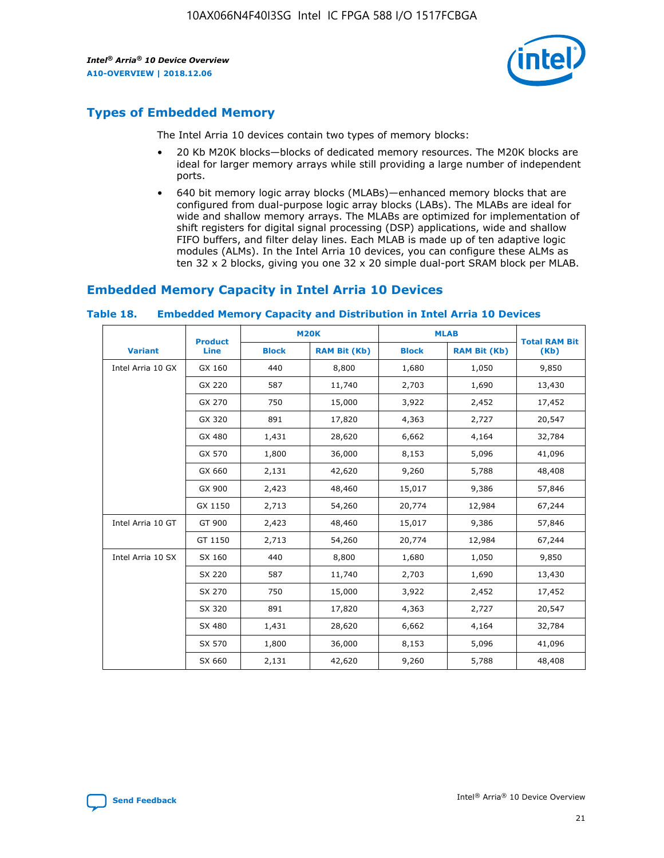

## **Types of Embedded Memory**

The Intel Arria 10 devices contain two types of memory blocks:

- 20 Kb M20K blocks—blocks of dedicated memory resources. The M20K blocks are ideal for larger memory arrays while still providing a large number of independent ports.
- 640 bit memory logic array blocks (MLABs)—enhanced memory blocks that are configured from dual-purpose logic array blocks (LABs). The MLABs are ideal for wide and shallow memory arrays. The MLABs are optimized for implementation of shift registers for digital signal processing (DSP) applications, wide and shallow FIFO buffers, and filter delay lines. Each MLAB is made up of ten adaptive logic modules (ALMs). In the Intel Arria 10 devices, you can configure these ALMs as ten 32 x 2 blocks, giving you one 32 x 20 simple dual-port SRAM block per MLAB.

## **Embedded Memory Capacity in Intel Arria 10 Devices**

|                   | <b>Product</b> | <b>M20K</b>  |                     | <b>MLAB</b>  |                     | <b>Total RAM Bit</b> |
|-------------------|----------------|--------------|---------------------|--------------|---------------------|----------------------|
| <b>Variant</b>    | <b>Line</b>    | <b>Block</b> | <b>RAM Bit (Kb)</b> | <b>Block</b> | <b>RAM Bit (Kb)</b> | (Kb)                 |
| Intel Arria 10 GX | GX 160         | 440          | 8,800               | 1,680        | 1,050               | 9,850                |
|                   | GX 220         | 587          | 11,740              | 2,703        | 1,690               | 13,430               |
|                   | GX 270         | 750          | 15,000              | 3,922        | 2,452               | 17,452               |
|                   | GX 320         | 891          | 17,820              | 4,363        | 2,727               | 20,547               |
|                   | GX 480         | 1,431        | 28,620              | 6,662        | 4,164               | 32,784               |
|                   | GX 570         | 1,800        | 36,000              | 8,153        | 5,096               | 41,096               |
|                   | GX 660         | 2,131        | 42,620              | 9,260        | 5,788               | 48,408               |
|                   | GX 900         | 2,423        | 48,460              | 15,017       | 9,386               | 57,846               |
|                   | GX 1150        | 2,713        | 54,260              | 20,774       | 12,984              | 67,244               |
| Intel Arria 10 GT | GT 900         | 2,423        | 48,460              | 15,017       | 9,386               | 57,846               |
|                   | GT 1150        | 2,713        | 54,260              | 20,774       | 12,984              | 67,244               |
| Intel Arria 10 SX | SX 160         | 440          | 8,800               | 1,680        | 1,050               | 9,850                |
|                   | SX 220         | 587          | 11,740              | 2,703        | 1,690               | 13,430               |
|                   | SX 270         | 750          | 15,000              | 3,922        | 2,452               | 17,452               |
|                   | SX 320         | 891          | 17,820              | 4,363        | 2,727               | 20,547               |
|                   | SX 480         | 1,431        | 28,620              | 6,662        | 4,164               | 32,784               |
|                   | SX 570         | 1,800        | 36,000              | 8,153        | 5,096               | 41,096               |
|                   | SX 660         | 2,131        | 42,620              | 9,260        | 5,788               | 48,408               |

#### **Table 18. Embedded Memory Capacity and Distribution in Intel Arria 10 Devices**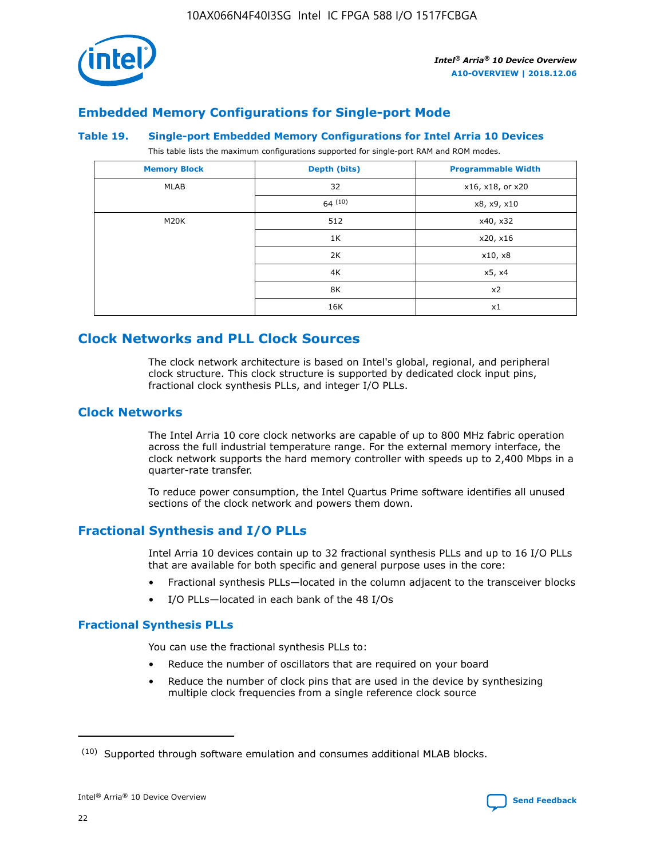

## **Embedded Memory Configurations for Single-port Mode**

#### **Table 19. Single-port Embedded Memory Configurations for Intel Arria 10 Devices**

This table lists the maximum configurations supported for single-port RAM and ROM modes.

| <b>Memory Block</b> | Depth (bits) | <b>Programmable Width</b> |
|---------------------|--------------|---------------------------|
| MLAB                | 32           | x16, x18, or x20          |
|                     | 64(10)       | x8, x9, x10               |
| M20K                | 512          | x40, x32                  |
|                     | 1K           | x20, x16                  |
|                     | 2K           | x10, x8                   |
|                     | 4K           | x5, x4                    |
|                     | 8K           | x2                        |
|                     | 16K          | x1                        |

## **Clock Networks and PLL Clock Sources**

The clock network architecture is based on Intel's global, regional, and peripheral clock structure. This clock structure is supported by dedicated clock input pins, fractional clock synthesis PLLs, and integer I/O PLLs.

## **Clock Networks**

The Intel Arria 10 core clock networks are capable of up to 800 MHz fabric operation across the full industrial temperature range. For the external memory interface, the clock network supports the hard memory controller with speeds up to 2,400 Mbps in a quarter-rate transfer.

To reduce power consumption, the Intel Quartus Prime software identifies all unused sections of the clock network and powers them down.

## **Fractional Synthesis and I/O PLLs**

Intel Arria 10 devices contain up to 32 fractional synthesis PLLs and up to 16 I/O PLLs that are available for both specific and general purpose uses in the core:

- Fractional synthesis PLLs—located in the column adjacent to the transceiver blocks
- I/O PLLs—located in each bank of the 48 I/Os

## **Fractional Synthesis PLLs**

You can use the fractional synthesis PLLs to:

- Reduce the number of oscillators that are required on your board
- Reduce the number of clock pins that are used in the device by synthesizing multiple clock frequencies from a single reference clock source

<sup>(10)</sup> Supported through software emulation and consumes additional MLAB blocks.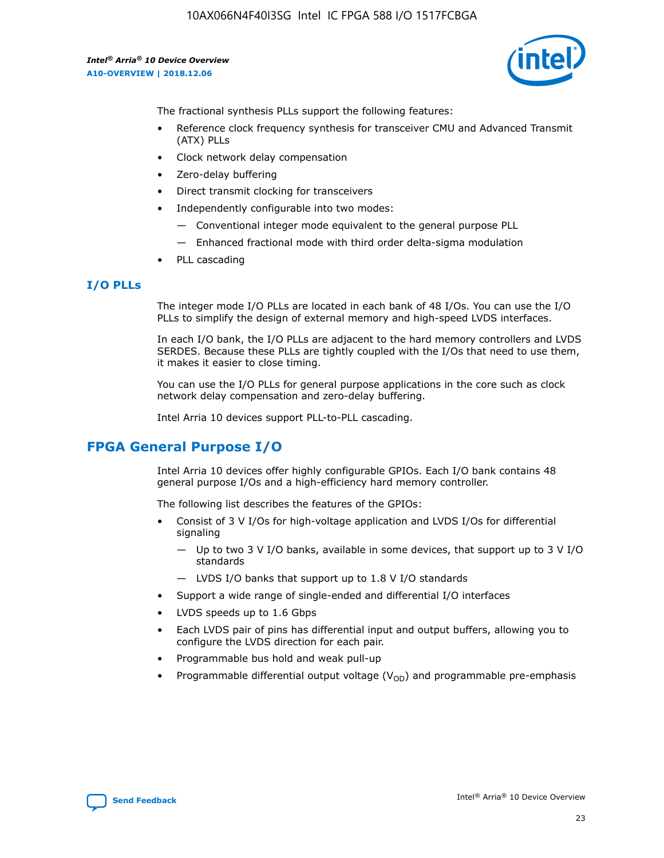

The fractional synthesis PLLs support the following features:

- Reference clock frequency synthesis for transceiver CMU and Advanced Transmit (ATX) PLLs
- Clock network delay compensation
- Zero-delay buffering
- Direct transmit clocking for transceivers
- Independently configurable into two modes:
	- Conventional integer mode equivalent to the general purpose PLL
	- Enhanced fractional mode with third order delta-sigma modulation
- PLL cascading

#### **I/O PLLs**

The integer mode I/O PLLs are located in each bank of 48 I/Os. You can use the I/O PLLs to simplify the design of external memory and high-speed LVDS interfaces.

In each I/O bank, the I/O PLLs are adjacent to the hard memory controllers and LVDS SERDES. Because these PLLs are tightly coupled with the I/Os that need to use them, it makes it easier to close timing.

You can use the I/O PLLs for general purpose applications in the core such as clock network delay compensation and zero-delay buffering.

Intel Arria 10 devices support PLL-to-PLL cascading.

## **FPGA General Purpose I/O**

Intel Arria 10 devices offer highly configurable GPIOs. Each I/O bank contains 48 general purpose I/Os and a high-efficiency hard memory controller.

The following list describes the features of the GPIOs:

- Consist of 3 V I/Os for high-voltage application and LVDS I/Os for differential signaling
	- Up to two 3 V I/O banks, available in some devices, that support up to 3 V I/O standards
	- LVDS I/O banks that support up to 1.8 V I/O standards
- Support a wide range of single-ended and differential I/O interfaces
- LVDS speeds up to 1.6 Gbps
- Each LVDS pair of pins has differential input and output buffers, allowing you to configure the LVDS direction for each pair.
- Programmable bus hold and weak pull-up
- Programmable differential output voltage  $(V_{OD})$  and programmable pre-emphasis

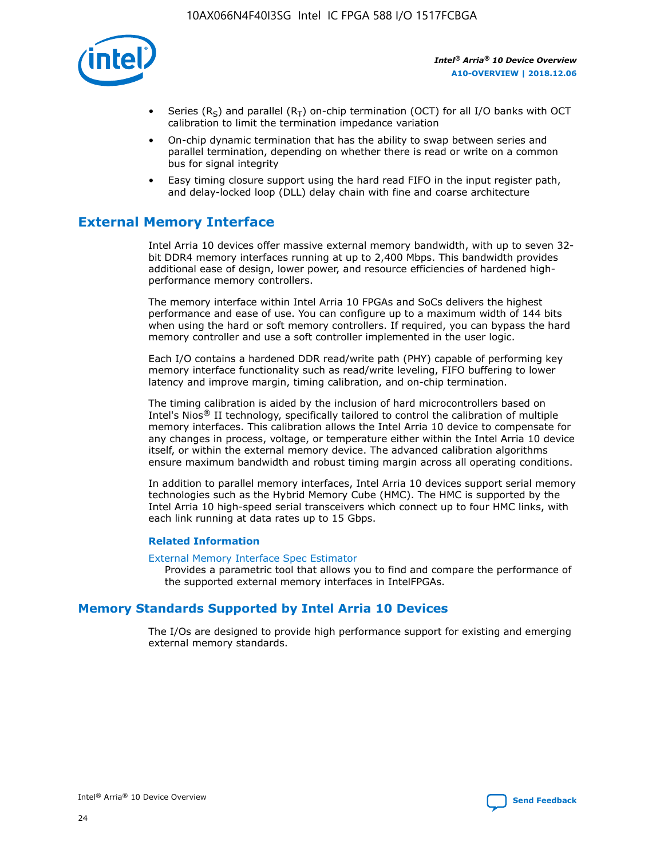

- Series (R<sub>S</sub>) and parallel (R<sub>T</sub>) on-chip termination (OCT) for all I/O banks with OCT calibration to limit the termination impedance variation
- On-chip dynamic termination that has the ability to swap between series and parallel termination, depending on whether there is read or write on a common bus for signal integrity
- Easy timing closure support using the hard read FIFO in the input register path, and delay-locked loop (DLL) delay chain with fine and coarse architecture

## **External Memory Interface**

Intel Arria 10 devices offer massive external memory bandwidth, with up to seven 32 bit DDR4 memory interfaces running at up to 2,400 Mbps. This bandwidth provides additional ease of design, lower power, and resource efficiencies of hardened highperformance memory controllers.

The memory interface within Intel Arria 10 FPGAs and SoCs delivers the highest performance and ease of use. You can configure up to a maximum width of 144 bits when using the hard or soft memory controllers. If required, you can bypass the hard memory controller and use a soft controller implemented in the user logic.

Each I/O contains a hardened DDR read/write path (PHY) capable of performing key memory interface functionality such as read/write leveling, FIFO buffering to lower latency and improve margin, timing calibration, and on-chip termination.

The timing calibration is aided by the inclusion of hard microcontrollers based on Intel's Nios® II technology, specifically tailored to control the calibration of multiple memory interfaces. This calibration allows the Intel Arria 10 device to compensate for any changes in process, voltage, or temperature either within the Intel Arria 10 device itself, or within the external memory device. The advanced calibration algorithms ensure maximum bandwidth and robust timing margin across all operating conditions.

In addition to parallel memory interfaces, Intel Arria 10 devices support serial memory technologies such as the Hybrid Memory Cube (HMC). The HMC is supported by the Intel Arria 10 high-speed serial transceivers which connect up to four HMC links, with each link running at data rates up to 15 Gbps.

#### **Related Information**

#### [External Memory Interface Spec Estimator](http://www.altera.com/technology/memory/estimator/mem-emif-index.html)

Provides a parametric tool that allows you to find and compare the performance of the supported external memory interfaces in IntelFPGAs.

## **Memory Standards Supported by Intel Arria 10 Devices**

The I/Os are designed to provide high performance support for existing and emerging external memory standards.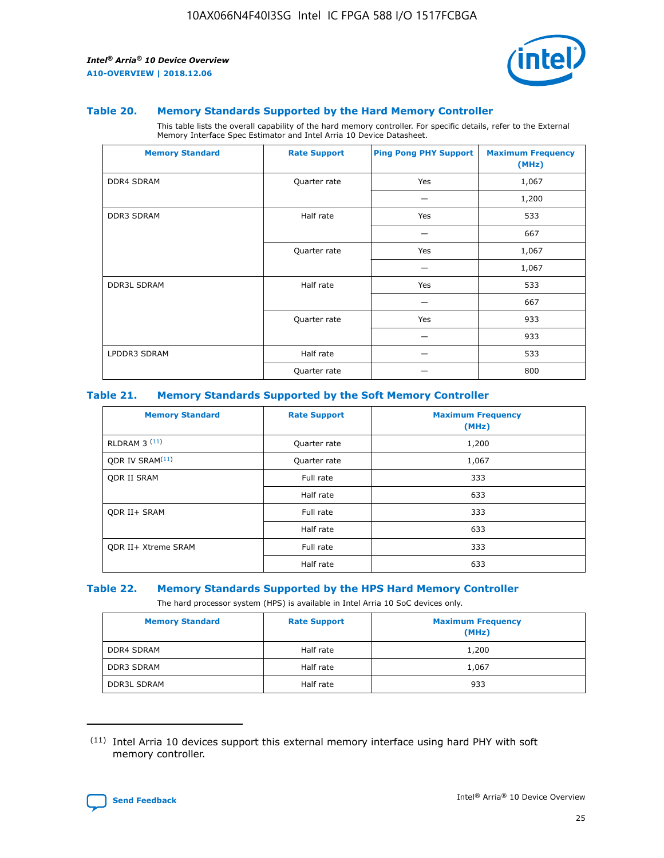

#### **Table 20. Memory Standards Supported by the Hard Memory Controller**

This table lists the overall capability of the hard memory controller. For specific details, refer to the External Memory Interface Spec Estimator and Intel Arria 10 Device Datasheet.

| <b>Memory Standard</b> | <b>Rate Support</b> | <b>Ping Pong PHY Support</b> | <b>Maximum Frequency</b><br>(MHz) |
|------------------------|---------------------|------------------------------|-----------------------------------|
| <b>DDR4 SDRAM</b>      | Quarter rate        | Yes                          | 1,067                             |
|                        |                     |                              | 1,200                             |
| DDR3 SDRAM             | Half rate           | Yes                          | 533                               |
|                        |                     |                              | 667                               |
|                        | Quarter rate        | Yes                          | 1,067                             |
|                        |                     |                              | 1,067                             |
| <b>DDR3L SDRAM</b>     | Half rate           | Yes                          | 533                               |
|                        |                     |                              | 667                               |
|                        | Quarter rate        | Yes                          | 933                               |
|                        |                     |                              | 933                               |
| LPDDR3 SDRAM           | Half rate           |                              | 533                               |
|                        | Quarter rate        |                              | 800                               |

#### **Table 21. Memory Standards Supported by the Soft Memory Controller**

| <b>Memory Standard</b>      | <b>Rate Support</b> | <b>Maximum Frequency</b><br>(MHz) |
|-----------------------------|---------------------|-----------------------------------|
| <b>RLDRAM 3 (11)</b>        | Quarter rate        | 1,200                             |
| ODR IV SRAM <sup>(11)</sup> | Quarter rate        | 1,067                             |
| <b>ODR II SRAM</b>          | Full rate           | 333                               |
|                             | Half rate           | 633                               |
| <b>ODR II+ SRAM</b>         | Full rate           | 333                               |
|                             | Half rate           | 633                               |
| <b>ODR II+ Xtreme SRAM</b>  | Full rate           | 333                               |
|                             | Half rate           | 633                               |

#### **Table 22. Memory Standards Supported by the HPS Hard Memory Controller**

The hard processor system (HPS) is available in Intel Arria 10 SoC devices only.

| <b>Memory Standard</b> | <b>Rate Support</b> | <b>Maximum Frequency</b><br>(MHz) |
|------------------------|---------------------|-----------------------------------|
| <b>DDR4 SDRAM</b>      | Half rate           | 1,200                             |
| <b>DDR3 SDRAM</b>      | Half rate           | 1,067                             |
| <b>DDR3L SDRAM</b>     | Half rate           | 933                               |

<sup>(11)</sup> Intel Arria 10 devices support this external memory interface using hard PHY with soft memory controller.

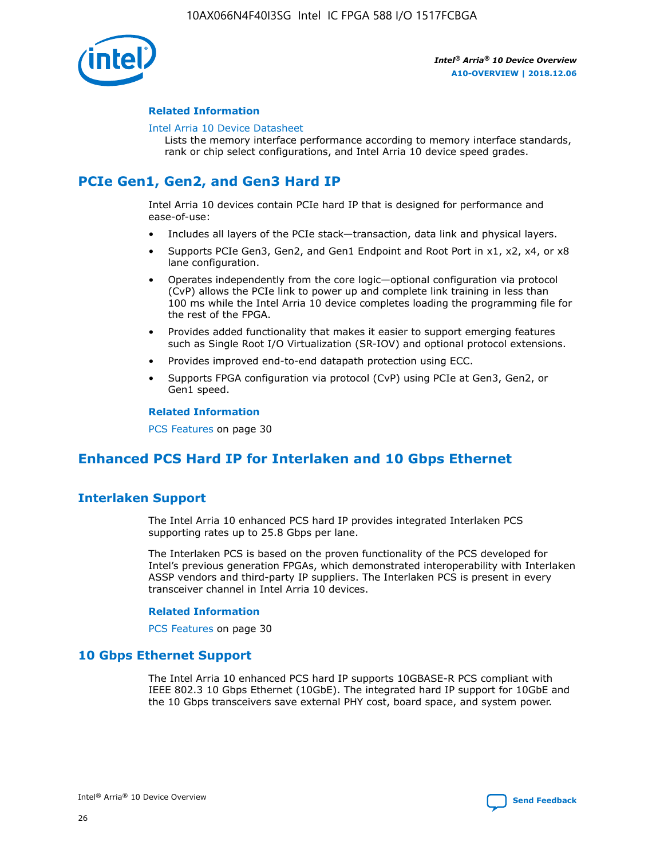

#### **Related Information**

#### [Intel Arria 10 Device Datasheet](https://www.intel.com/content/www/us/en/programmable/documentation/mcn1413182292568.html#mcn1413182153340)

Lists the memory interface performance according to memory interface standards, rank or chip select configurations, and Intel Arria 10 device speed grades.

# **PCIe Gen1, Gen2, and Gen3 Hard IP**

Intel Arria 10 devices contain PCIe hard IP that is designed for performance and ease-of-use:

- Includes all layers of the PCIe stack—transaction, data link and physical layers.
- Supports PCIe Gen3, Gen2, and Gen1 Endpoint and Root Port in x1, x2, x4, or x8 lane configuration.
- Operates independently from the core logic—optional configuration via protocol (CvP) allows the PCIe link to power up and complete link training in less than 100 ms while the Intel Arria 10 device completes loading the programming file for the rest of the FPGA.
- Provides added functionality that makes it easier to support emerging features such as Single Root I/O Virtualization (SR-IOV) and optional protocol extensions.
- Provides improved end-to-end datapath protection using ECC.
- Supports FPGA configuration via protocol (CvP) using PCIe at Gen3, Gen2, or Gen1 speed.

#### **Related Information**

PCS Features on page 30

## **Enhanced PCS Hard IP for Interlaken and 10 Gbps Ethernet**

## **Interlaken Support**

The Intel Arria 10 enhanced PCS hard IP provides integrated Interlaken PCS supporting rates up to 25.8 Gbps per lane.

The Interlaken PCS is based on the proven functionality of the PCS developed for Intel's previous generation FPGAs, which demonstrated interoperability with Interlaken ASSP vendors and third-party IP suppliers. The Interlaken PCS is present in every transceiver channel in Intel Arria 10 devices.

#### **Related Information**

PCS Features on page 30

## **10 Gbps Ethernet Support**

The Intel Arria 10 enhanced PCS hard IP supports 10GBASE-R PCS compliant with IEEE 802.3 10 Gbps Ethernet (10GbE). The integrated hard IP support for 10GbE and the 10 Gbps transceivers save external PHY cost, board space, and system power.

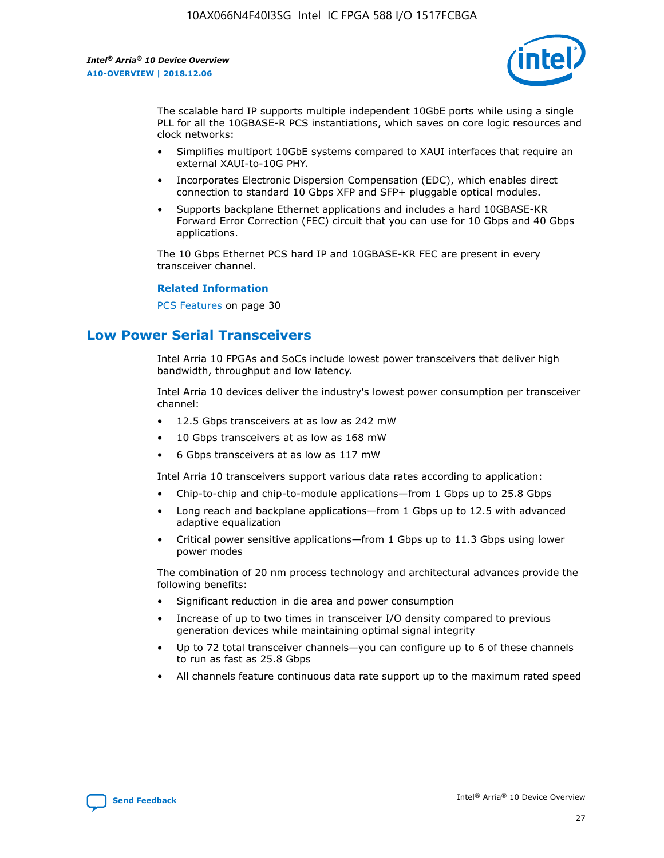

The scalable hard IP supports multiple independent 10GbE ports while using a single PLL for all the 10GBASE-R PCS instantiations, which saves on core logic resources and clock networks:

- Simplifies multiport 10GbE systems compared to XAUI interfaces that require an external XAUI-to-10G PHY.
- Incorporates Electronic Dispersion Compensation (EDC), which enables direct connection to standard 10 Gbps XFP and SFP+ pluggable optical modules.
- Supports backplane Ethernet applications and includes a hard 10GBASE-KR Forward Error Correction (FEC) circuit that you can use for 10 Gbps and 40 Gbps applications.

The 10 Gbps Ethernet PCS hard IP and 10GBASE-KR FEC are present in every transceiver channel.

#### **Related Information**

PCS Features on page 30

## **Low Power Serial Transceivers**

Intel Arria 10 FPGAs and SoCs include lowest power transceivers that deliver high bandwidth, throughput and low latency.

Intel Arria 10 devices deliver the industry's lowest power consumption per transceiver channel:

- 12.5 Gbps transceivers at as low as 242 mW
- 10 Gbps transceivers at as low as 168 mW
- 6 Gbps transceivers at as low as 117 mW

Intel Arria 10 transceivers support various data rates according to application:

- Chip-to-chip and chip-to-module applications—from 1 Gbps up to 25.8 Gbps
- Long reach and backplane applications—from 1 Gbps up to 12.5 with advanced adaptive equalization
- Critical power sensitive applications—from 1 Gbps up to 11.3 Gbps using lower power modes

The combination of 20 nm process technology and architectural advances provide the following benefits:

- Significant reduction in die area and power consumption
- Increase of up to two times in transceiver I/O density compared to previous generation devices while maintaining optimal signal integrity
- Up to 72 total transceiver channels—you can configure up to 6 of these channels to run as fast as 25.8 Gbps
- All channels feature continuous data rate support up to the maximum rated speed

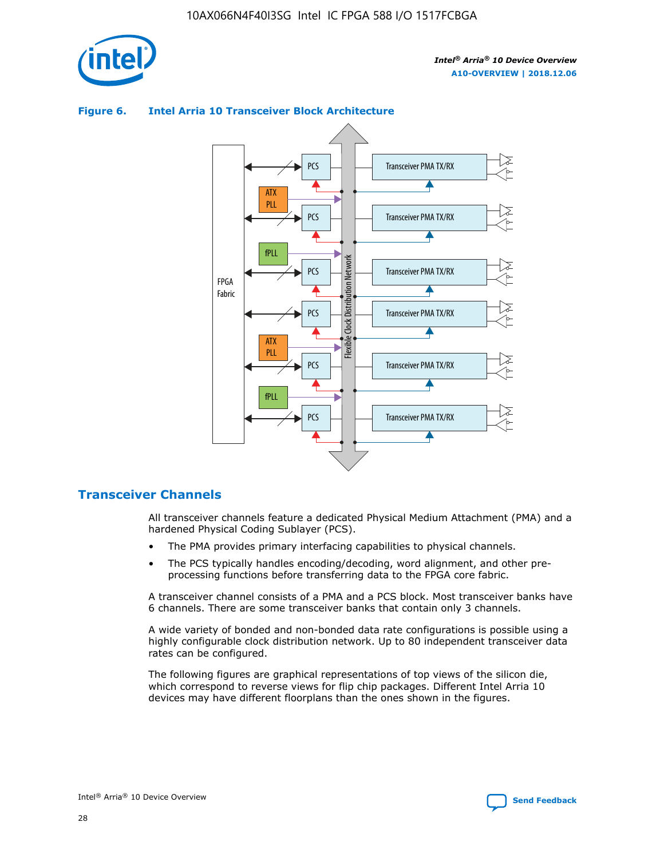

## Transceiver PMA TX/RX PCS ATX PLL Transceiver PMA TX/RX PCS fPLL Network Flexible Clock Distribution Network PCS Transceiver PMA TX/RX FPGA **Clock Distribution** Fabric PCS Transceiver PMA TX/RX ATX Flexible PLL PCS Transceiver PMA TX/RX ▲ fPLL Transceiver PMA TX/RX PCS 4

## **Figure 6. Intel Arria 10 Transceiver Block Architecture**

## **Transceiver Channels**

All transceiver channels feature a dedicated Physical Medium Attachment (PMA) and a hardened Physical Coding Sublayer (PCS).

- The PMA provides primary interfacing capabilities to physical channels.
- The PCS typically handles encoding/decoding, word alignment, and other preprocessing functions before transferring data to the FPGA core fabric.

A transceiver channel consists of a PMA and a PCS block. Most transceiver banks have 6 channels. There are some transceiver banks that contain only 3 channels.

A wide variety of bonded and non-bonded data rate configurations is possible using a highly configurable clock distribution network. Up to 80 independent transceiver data rates can be configured.

The following figures are graphical representations of top views of the silicon die, which correspond to reverse views for flip chip packages. Different Intel Arria 10 devices may have different floorplans than the ones shown in the figures.

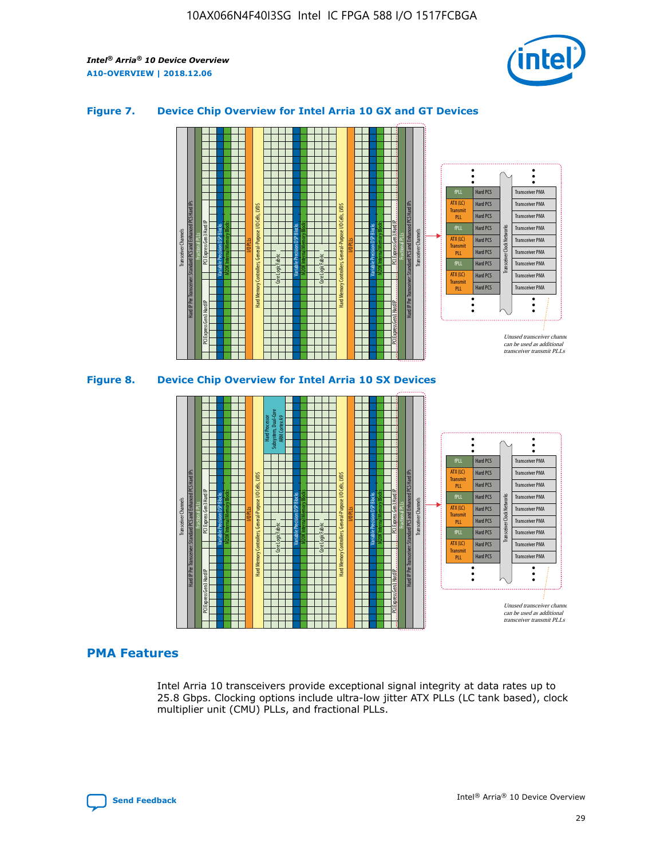

#### **Figure 7. Device Chip Overview for Intel Arria 10 GX and GT Devices**



M20K Internal Memory Blocks Core Logic Fabric Transceiver Channels Hard IP Per Transceiver: Standard PCS and Enhanced PCS Hard IPs PCI Express Gen3 Hard IP Fractional PLLs M20K Internal Memory Blocks PCI Express Gen3 Hard IP Variable Precision DSP Blocks I/O PLLs Hard Memory Controllers, General-Purpose I/O Cells, LVDS Hard Processor Subsystem, Dual-Core ARM Cortex A9 M20K Internal Memory Blocks Variable Precision DSP Blocks M20K Internal Memory Blocks Core Logic Fabric I/O PLLs Hard Memory Controllers, General-Purpose I/O Cells, LVDS M20K Internal Memory Blocks Variable Precision DSP Blocks M20K Internal Memory Blocks Transceiver Channels Hard IP Per Transceiver: Standard PCS and Enhanced PCS Hard IPs PCI Express Gen3 Hard IP Fractional PLLs PCI Express Gen3 Hard IP Hard PCS Hard PCS Hard PCS Hard PCS Hard PCS Hard PCS Hard PCS Hard PCS Transceiver PMA Transceiver PMA Transceiver PMA Transceiver PMA Transceiver PMA Transceiver PMA Unused transceiver chann can be used as additional transceiver transmit PLLs Transceiver PMA Transceiver PMA Transceiver Clock Networks ATX (LC) **Transmit** PLL fPLL ATX (LC) Transmi PLL fPLL ATX (LC) **Transmit** PLL

## **PMA Features**

Intel Arria 10 transceivers provide exceptional signal integrity at data rates up to 25.8 Gbps. Clocking options include ultra-low jitter ATX PLLs (LC tank based), clock multiplier unit (CMU) PLLs, and fractional PLLs.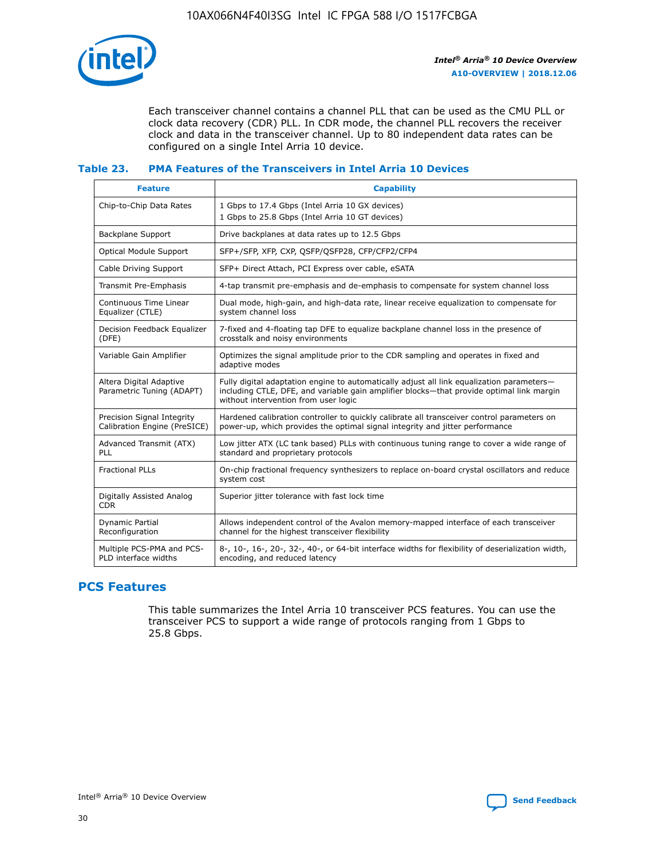

Each transceiver channel contains a channel PLL that can be used as the CMU PLL or clock data recovery (CDR) PLL. In CDR mode, the channel PLL recovers the receiver clock and data in the transceiver channel. Up to 80 independent data rates can be configured on a single Intel Arria 10 device.

## **Table 23. PMA Features of the Transceivers in Intel Arria 10 Devices**

| <b>Feature</b>                                             | <b>Capability</b>                                                                                                                                                                                                             |
|------------------------------------------------------------|-------------------------------------------------------------------------------------------------------------------------------------------------------------------------------------------------------------------------------|
| Chip-to-Chip Data Rates                                    | 1 Gbps to 17.4 Gbps (Intel Arria 10 GX devices)<br>1 Gbps to 25.8 Gbps (Intel Arria 10 GT devices)                                                                                                                            |
| Backplane Support                                          | Drive backplanes at data rates up to 12.5 Gbps                                                                                                                                                                                |
| Optical Module Support                                     | SFP+/SFP, XFP, CXP, QSFP/QSFP28, CFP/CFP2/CFP4                                                                                                                                                                                |
| Cable Driving Support                                      | SFP+ Direct Attach, PCI Express over cable, eSATA                                                                                                                                                                             |
| Transmit Pre-Emphasis                                      | 4-tap transmit pre-emphasis and de-emphasis to compensate for system channel loss                                                                                                                                             |
| Continuous Time Linear<br>Equalizer (CTLE)                 | Dual mode, high-gain, and high-data rate, linear receive equalization to compensate for<br>system channel loss                                                                                                                |
| Decision Feedback Equalizer<br>(DFE)                       | 7-fixed and 4-floating tap DFE to equalize backplane channel loss in the presence of<br>crosstalk and noisy environments                                                                                                      |
| Variable Gain Amplifier                                    | Optimizes the signal amplitude prior to the CDR sampling and operates in fixed and<br>adaptive modes                                                                                                                          |
| Altera Digital Adaptive<br>Parametric Tuning (ADAPT)       | Fully digital adaptation engine to automatically adjust all link equalization parameters-<br>including CTLE, DFE, and variable gain amplifier blocks—that provide optimal link margin<br>without intervention from user logic |
| Precision Signal Integrity<br>Calibration Engine (PreSICE) | Hardened calibration controller to quickly calibrate all transceiver control parameters on<br>power-up, which provides the optimal signal integrity and jitter performance                                                    |
| Advanced Transmit (ATX)<br>PLL                             | Low jitter ATX (LC tank based) PLLs with continuous tuning range to cover a wide range of<br>standard and proprietary protocols                                                                                               |
| <b>Fractional PLLs</b>                                     | On-chip fractional frequency synthesizers to replace on-board crystal oscillators and reduce<br>system cost                                                                                                                   |
| Digitally Assisted Analog<br><b>CDR</b>                    | Superior jitter tolerance with fast lock time                                                                                                                                                                                 |
| <b>Dynamic Partial</b><br>Reconfiguration                  | Allows independent control of the Avalon memory-mapped interface of each transceiver<br>channel for the highest transceiver flexibility                                                                                       |
| Multiple PCS-PMA and PCS-<br>PLD interface widths          | 8-, 10-, 16-, 20-, 32-, 40-, or 64-bit interface widths for flexibility of deserialization width,<br>encoding, and reduced latency                                                                                            |

## **PCS Features**

This table summarizes the Intel Arria 10 transceiver PCS features. You can use the transceiver PCS to support a wide range of protocols ranging from 1 Gbps to 25.8 Gbps.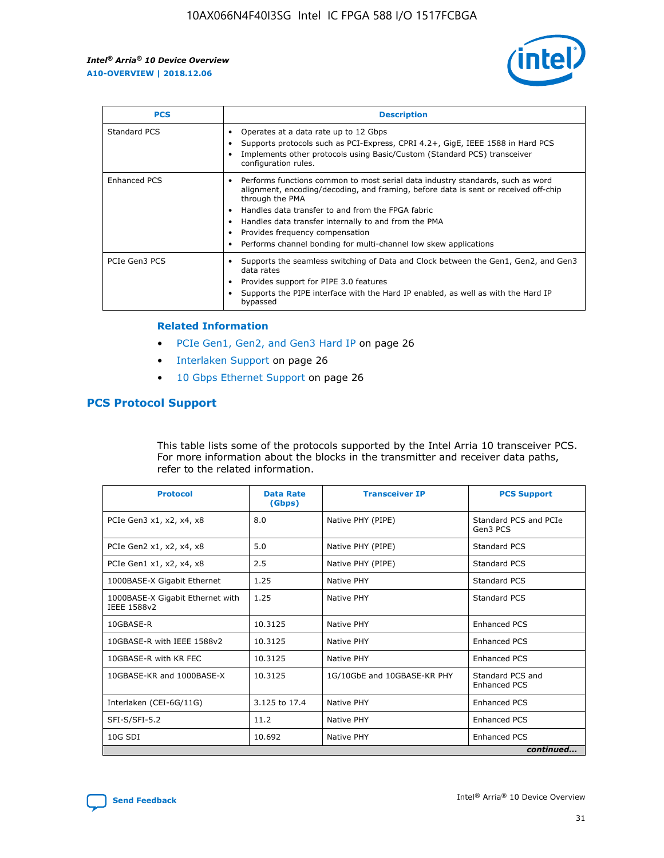

| <b>PCS</b>    | <b>Description</b>                                                                                                                                                                                                                                                                                                                                                                                             |
|---------------|----------------------------------------------------------------------------------------------------------------------------------------------------------------------------------------------------------------------------------------------------------------------------------------------------------------------------------------------------------------------------------------------------------------|
| Standard PCS  | Operates at a data rate up to 12 Gbps<br>Supports protocols such as PCI-Express, CPRI 4.2+, GigE, IEEE 1588 in Hard PCS<br>Implements other protocols using Basic/Custom (Standard PCS) transceiver<br>configuration rules.                                                                                                                                                                                    |
| Enhanced PCS  | Performs functions common to most serial data industry standards, such as word<br>alignment, encoding/decoding, and framing, before data is sent or received off-chip<br>through the PMA<br>• Handles data transfer to and from the FPGA fabric<br>Handles data transfer internally to and from the PMA<br>Provides frequency compensation<br>Performs channel bonding for multi-channel low skew applications |
| PCIe Gen3 PCS | Supports the seamless switching of Data and Clock between the Gen1, Gen2, and Gen3<br>data rates<br>Provides support for PIPE 3.0 features<br>Supports the PIPE interface with the Hard IP enabled, as well as with the Hard IP<br>bypassed                                                                                                                                                                    |

#### **Related Information**

- PCIe Gen1, Gen2, and Gen3 Hard IP on page 26
- Interlaken Support on page 26
- 10 Gbps Ethernet Support on page 26

## **PCS Protocol Support**

This table lists some of the protocols supported by the Intel Arria 10 transceiver PCS. For more information about the blocks in the transmitter and receiver data paths, refer to the related information.

| <b>Protocol</b>                                 | <b>Data Rate</b><br>(Gbps) | <b>Transceiver IP</b>       | <b>PCS Support</b>                      |
|-------------------------------------------------|----------------------------|-----------------------------|-----------------------------------------|
| PCIe Gen3 x1, x2, x4, x8                        | 8.0                        | Native PHY (PIPE)           | Standard PCS and PCIe<br>Gen3 PCS       |
| PCIe Gen2 x1, x2, x4, x8                        | 5.0                        | Native PHY (PIPE)           | <b>Standard PCS</b>                     |
| PCIe Gen1 x1, x2, x4, x8                        | 2.5                        | Native PHY (PIPE)           | Standard PCS                            |
| 1000BASE-X Gigabit Ethernet                     | 1.25                       | Native PHY                  | <b>Standard PCS</b>                     |
| 1000BASE-X Gigabit Ethernet with<br>IEEE 1588v2 | 1.25                       | Native PHY                  | Standard PCS                            |
| 10GBASE-R                                       | 10.3125                    | Native PHY                  | <b>Enhanced PCS</b>                     |
| 10GBASE-R with IEEE 1588v2                      | 10.3125                    | Native PHY                  | <b>Enhanced PCS</b>                     |
| 10GBASE-R with KR FEC                           | 10.3125                    | Native PHY                  | <b>Enhanced PCS</b>                     |
| 10GBASE-KR and 1000BASE-X                       | 10.3125                    | 1G/10GbE and 10GBASE-KR PHY | Standard PCS and<br><b>Enhanced PCS</b> |
| Interlaken (CEI-6G/11G)                         | 3.125 to 17.4              | Native PHY                  | <b>Enhanced PCS</b>                     |
| SFI-S/SFI-5.2                                   | 11.2                       | Native PHY                  | <b>Enhanced PCS</b>                     |
| $10G$ SDI                                       | 10.692                     | Native PHY                  | <b>Enhanced PCS</b>                     |
|                                                 |                            |                             | continued                               |

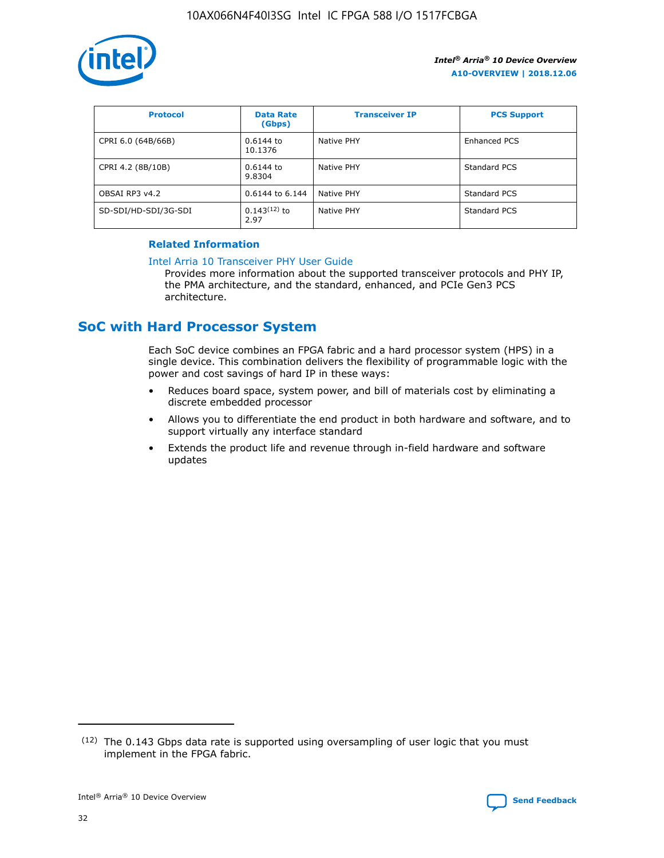

| <b>Protocol</b>      | <b>Data Rate</b><br>(Gbps) | <b>Transceiver IP</b> | <b>PCS Support</b> |
|----------------------|----------------------------|-----------------------|--------------------|
| CPRI 6.0 (64B/66B)   | 0.6144 to<br>10.1376       | Native PHY            | Enhanced PCS       |
| CPRI 4.2 (8B/10B)    | 0.6144 to<br>9.8304        | Native PHY            | Standard PCS       |
| OBSAI RP3 v4.2       | 0.6144 to 6.144            | Native PHY            | Standard PCS       |
| SD-SDI/HD-SDI/3G-SDI | $0.143(12)$ to<br>2.97     | Native PHY            | Standard PCS       |

## **Related Information**

#### [Intel Arria 10 Transceiver PHY User Guide](https://www.intel.com/content/www/us/en/programmable/documentation/nik1398707230472.html#nik1398707091164)

Provides more information about the supported transceiver protocols and PHY IP, the PMA architecture, and the standard, enhanced, and PCIe Gen3 PCS architecture.

## **SoC with Hard Processor System**

Each SoC device combines an FPGA fabric and a hard processor system (HPS) in a single device. This combination delivers the flexibility of programmable logic with the power and cost savings of hard IP in these ways:

- Reduces board space, system power, and bill of materials cost by eliminating a discrete embedded processor
- Allows you to differentiate the end product in both hardware and software, and to support virtually any interface standard
- Extends the product life and revenue through in-field hardware and software updates

 $(12)$  The 0.143 Gbps data rate is supported using oversampling of user logic that you must implement in the FPGA fabric.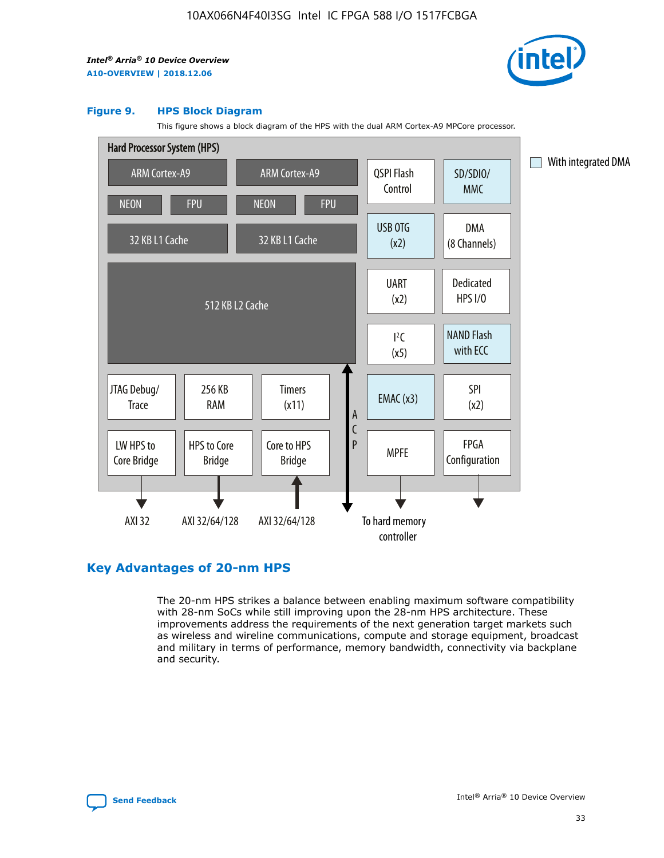

#### **Figure 9. HPS Block Diagram**

This figure shows a block diagram of the HPS with the dual ARM Cortex-A9 MPCore processor.



## **Key Advantages of 20-nm HPS**

The 20-nm HPS strikes a balance between enabling maximum software compatibility with 28-nm SoCs while still improving upon the 28-nm HPS architecture. These improvements address the requirements of the next generation target markets such as wireless and wireline communications, compute and storage equipment, broadcast and military in terms of performance, memory bandwidth, connectivity via backplane and security.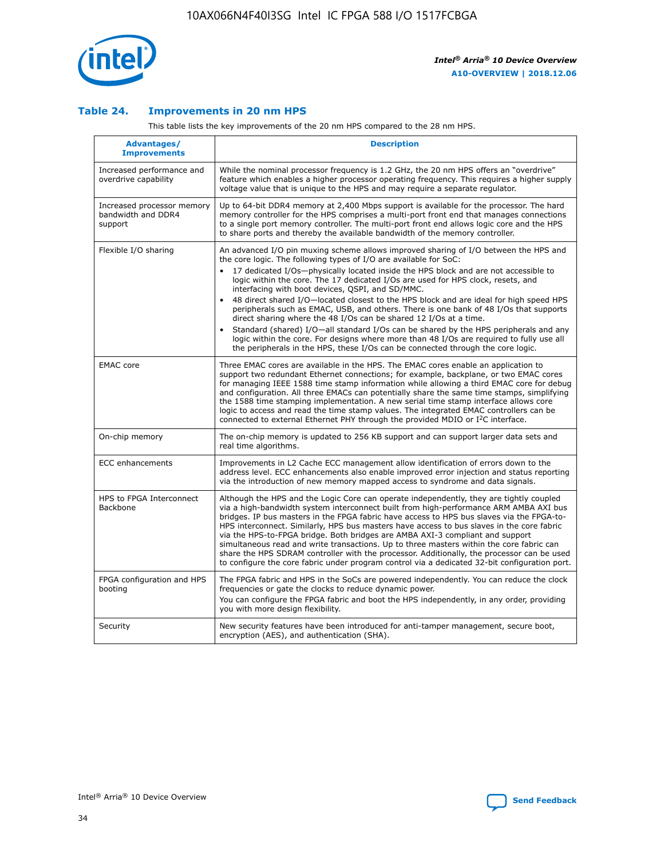

## **Table 24. Improvements in 20 nm HPS**

This table lists the key improvements of the 20 nm HPS compared to the 28 nm HPS.

| Advantages/<br><b>Improvements</b>                          | <b>Description</b>                                                                                                                                                                                                                                                                                                                                                                                                                                                                                                                                                                                                                                                                                                                                                                                                                                                                                                      |
|-------------------------------------------------------------|-------------------------------------------------------------------------------------------------------------------------------------------------------------------------------------------------------------------------------------------------------------------------------------------------------------------------------------------------------------------------------------------------------------------------------------------------------------------------------------------------------------------------------------------------------------------------------------------------------------------------------------------------------------------------------------------------------------------------------------------------------------------------------------------------------------------------------------------------------------------------------------------------------------------------|
| Increased performance and<br>overdrive capability           | While the nominal processor frequency is 1.2 GHz, the 20 nm HPS offers an "overdrive"<br>feature which enables a higher processor operating frequency. This requires a higher supply<br>voltage value that is unique to the HPS and may require a separate regulator.                                                                                                                                                                                                                                                                                                                                                                                                                                                                                                                                                                                                                                                   |
| Increased processor memory<br>bandwidth and DDR4<br>support | Up to 64-bit DDR4 memory at 2,400 Mbps support is available for the processor. The hard<br>memory controller for the HPS comprises a multi-port front end that manages connections<br>to a single port memory controller. The multi-port front end allows logic core and the HPS<br>to share ports and thereby the available bandwidth of the memory controller.                                                                                                                                                                                                                                                                                                                                                                                                                                                                                                                                                        |
| Flexible I/O sharing                                        | An advanced I/O pin muxing scheme allows improved sharing of I/O between the HPS and<br>the core logic. The following types of I/O are available for SoC:<br>17 dedicated I/Os-physically located inside the HPS block and are not accessible to<br>logic within the core. The 17 dedicated I/Os are used for HPS clock, resets, and<br>interfacing with boot devices, QSPI, and SD/MMC.<br>48 direct shared I/O-located closest to the HPS block and are ideal for high speed HPS<br>peripherals such as EMAC, USB, and others. There is one bank of 48 I/Os that supports<br>direct sharing where the 48 I/Os can be shared 12 I/Os at a time.<br>Standard (shared) I/O-all standard I/Os can be shared by the HPS peripherals and any<br>logic within the core. For designs where more than 48 I/Os are reguired to fully use all<br>the peripherals in the HPS, these I/Os can be connected through the core logic. |
| <b>EMAC</b> core                                            | Three EMAC cores are available in the HPS. The EMAC cores enable an application to<br>support two redundant Ethernet connections; for example, backplane, or two EMAC cores<br>for managing IEEE 1588 time stamp information while allowing a third EMAC core for debug<br>and configuration. All three EMACs can potentially share the same time stamps, simplifying<br>the 1588 time stamping implementation. A new serial time stamp interface allows core<br>logic to access and read the time stamp values. The integrated EMAC controllers can be<br>connected to external Ethernet PHY through the provided MDIO or I <sup>2</sup> C interface.                                                                                                                                                                                                                                                                  |
| On-chip memory                                              | The on-chip memory is updated to 256 KB support and can support larger data sets and<br>real time algorithms.                                                                                                                                                                                                                                                                                                                                                                                                                                                                                                                                                                                                                                                                                                                                                                                                           |
| <b>ECC</b> enhancements                                     | Improvements in L2 Cache ECC management allow identification of errors down to the<br>address level. ECC enhancements also enable improved error injection and status reporting<br>via the introduction of new memory mapped access to syndrome and data signals.                                                                                                                                                                                                                                                                                                                                                                                                                                                                                                                                                                                                                                                       |
| HPS to FPGA Interconnect<br>Backbone                        | Although the HPS and the Logic Core can operate independently, they are tightly coupled<br>via a high-bandwidth system interconnect built from high-performance ARM AMBA AXI bus<br>bridges. IP bus masters in the FPGA fabric have access to HPS bus slaves via the FPGA-to-<br>HPS interconnect. Similarly, HPS bus masters have access to bus slaves in the core fabric<br>via the HPS-to-FPGA bridge. Both bridges are AMBA AXI-3 compliant and support<br>simultaneous read and write transactions. Up to three masters within the core fabric can<br>share the HPS SDRAM controller with the processor. Additionally, the processor can be used<br>to configure the core fabric under program control via a dedicated 32-bit configuration port.                                                                                                                                                                  |
| FPGA configuration and HPS<br>booting                       | The FPGA fabric and HPS in the SoCs are powered independently. You can reduce the clock<br>frequencies or gate the clocks to reduce dynamic power.<br>You can configure the FPGA fabric and boot the HPS independently, in any order, providing<br>you with more design flexibility.                                                                                                                                                                                                                                                                                                                                                                                                                                                                                                                                                                                                                                    |
| Security                                                    | New security features have been introduced for anti-tamper management, secure boot,<br>encryption (AES), and authentication (SHA).                                                                                                                                                                                                                                                                                                                                                                                                                                                                                                                                                                                                                                                                                                                                                                                      |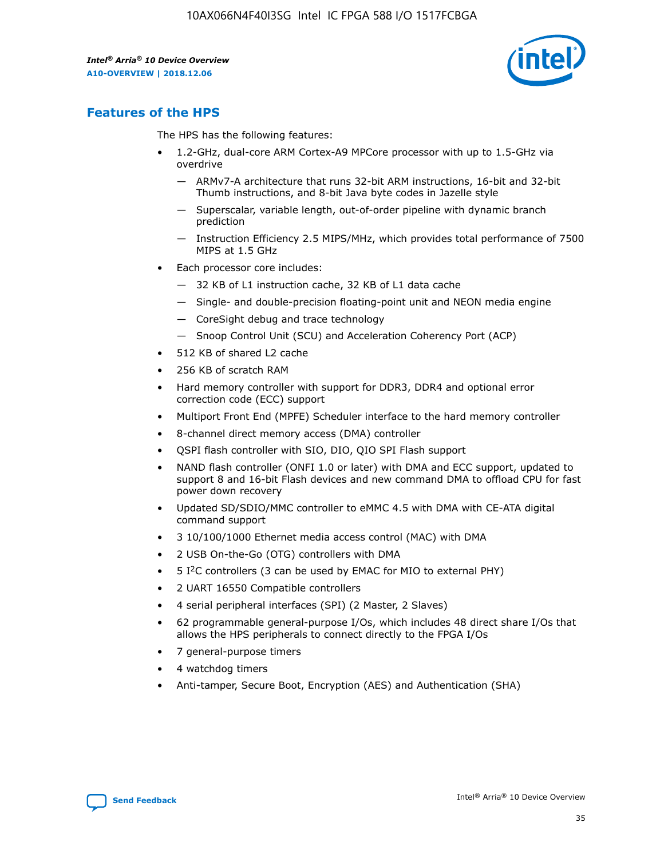

## **Features of the HPS**

The HPS has the following features:

- 1.2-GHz, dual-core ARM Cortex-A9 MPCore processor with up to 1.5-GHz via overdrive
	- ARMv7-A architecture that runs 32-bit ARM instructions, 16-bit and 32-bit Thumb instructions, and 8-bit Java byte codes in Jazelle style
	- Superscalar, variable length, out-of-order pipeline with dynamic branch prediction
	- Instruction Efficiency 2.5 MIPS/MHz, which provides total performance of 7500 MIPS at 1.5 GHz
- Each processor core includes:
	- 32 KB of L1 instruction cache, 32 KB of L1 data cache
	- Single- and double-precision floating-point unit and NEON media engine
	- CoreSight debug and trace technology
	- Snoop Control Unit (SCU) and Acceleration Coherency Port (ACP)
- 512 KB of shared L2 cache
- 256 KB of scratch RAM
- Hard memory controller with support for DDR3, DDR4 and optional error correction code (ECC) support
- Multiport Front End (MPFE) Scheduler interface to the hard memory controller
- 8-channel direct memory access (DMA) controller
- QSPI flash controller with SIO, DIO, QIO SPI Flash support
- NAND flash controller (ONFI 1.0 or later) with DMA and ECC support, updated to support 8 and 16-bit Flash devices and new command DMA to offload CPU for fast power down recovery
- Updated SD/SDIO/MMC controller to eMMC 4.5 with DMA with CE-ATA digital command support
- 3 10/100/1000 Ethernet media access control (MAC) with DMA
- 2 USB On-the-Go (OTG) controllers with DMA
- $\bullet$  5 I<sup>2</sup>C controllers (3 can be used by EMAC for MIO to external PHY)
- 2 UART 16550 Compatible controllers
- 4 serial peripheral interfaces (SPI) (2 Master, 2 Slaves)
- 62 programmable general-purpose I/Os, which includes 48 direct share I/Os that allows the HPS peripherals to connect directly to the FPGA I/Os
- 7 general-purpose timers
- 4 watchdog timers
- Anti-tamper, Secure Boot, Encryption (AES) and Authentication (SHA)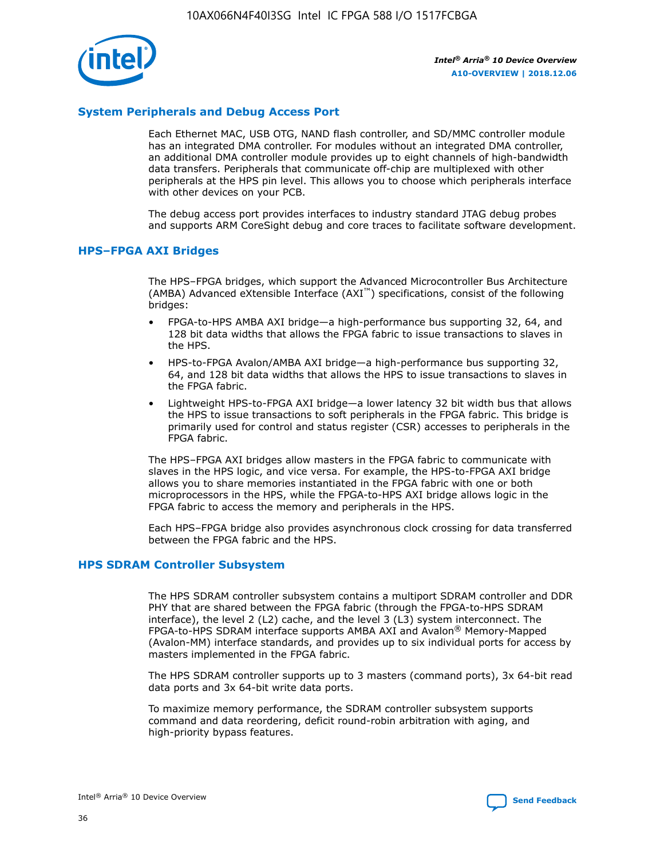

## **System Peripherals and Debug Access Port**

Each Ethernet MAC, USB OTG, NAND flash controller, and SD/MMC controller module has an integrated DMA controller. For modules without an integrated DMA controller, an additional DMA controller module provides up to eight channels of high-bandwidth data transfers. Peripherals that communicate off-chip are multiplexed with other peripherals at the HPS pin level. This allows you to choose which peripherals interface with other devices on your PCB.

The debug access port provides interfaces to industry standard JTAG debug probes and supports ARM CoreSight debug and core traces to facilitate software development.

## **HPS–FPGA AXI Bridges**

The HPS–FPGA bridges, which support the Advanced Microcontroller Bus Architecture (AMBA) Advanced eXtensible Interface (AXI™) specifications, consist of the following bridges:

- FPGA-to-HPS AMBA AXI bridge—a high-performance bus supporting 32, 64, and 128 bit data widths that allows the FPGA fabric to issue transactions to slaves in the HPS.
- HPS-to-FPGA Avalon/AMBA AXI bridge—a high-performance bus supporting 32, 64, and 128 bit data widths that allows the HPS to issue transactions to slaves in the FPGA fabric.
- Lightweight HPS-to-FPGA AXI bridge—a lower latency 32 bit width bus that allows the HPS to issue transactions to soft peripherals in the FPGA fabric. This bridge is primarily used for control and status register (CSR) accesses to peripherals in the FPGA fabric.

The HPS–FPGA AXI bridges allow masters in the FPGA fabric to communicate with slaves in the HPS logic, and vice versa. For example, the HPS-to-FPGA AXI bridge allows you to share memories instantiated in the FPGA fabric with one or both microprocessors in the HPS, while the FPGA-to-HPS AXI bridge allows logic in the FPGA fabric to access the memory and peripherals in the HPS.

Each HPS–FPGA bridge also provides asynchronous clock crossing for data transferred between the FPGA fabric and the HPS.

#### **HPS SDRAM Controller Subsystem**

The HPS SDRAM controller subsystem contains a multiport SDRAM controller and DDR PHY that are shared between the FPGA fabric (through the FPGA-to-HPS SDRAM interface), the level 2 (L2) cache, and the level 3 (L3) system interconnect. The FPGA-to-HPS SDRAM interface supports AMBA AXI and Avalon® Memory-Mapped (Avalon-MM) interface standards, and provides up to six individual ports for access by masters implemented in the FPGA fabric.

The HPS SDRAM controller supports up to 3 masters (command ports), 3x 64-bit read data ports and 3x 64-bit write data ports.

To maximize memory performance, the SDRAM controller subsystem supports command and data reordering, deficit round-robin arbitration with aging, and high-priority bypass features.

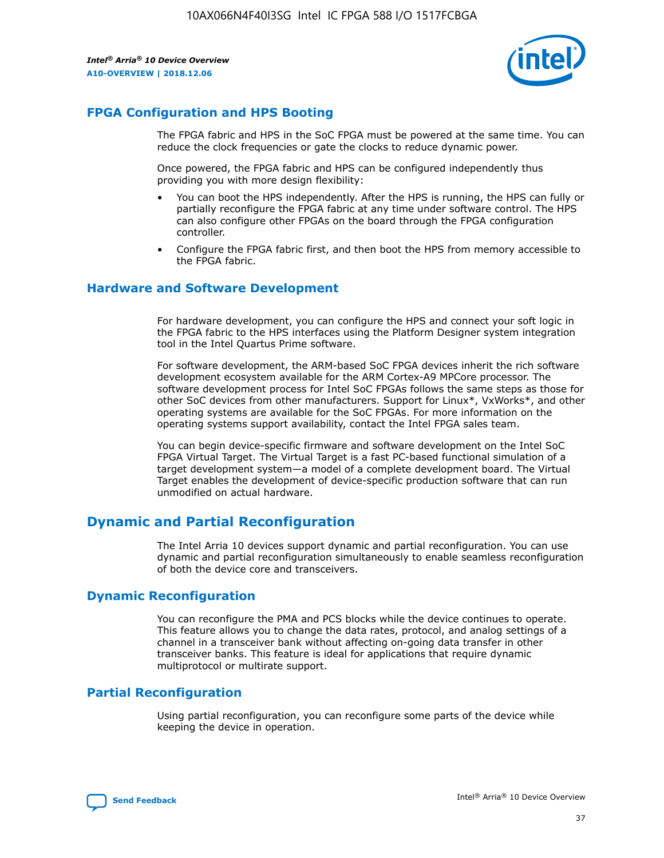

## **FPGA Configuration and HPS Booting**

The FPGA fabric and HPS in the SoC FPGA must be powered at the same time. You can reduce the clock frequencies or gate the clocks to reduce dynamic power.

Once powered, the FPGA fabric and HPS can be configured independently thus providing you with more design flexibility:

- You can boot the HPS independently. After the HPS is running, the HPS can fully or partially reconfigure the FPGA fabric at any time under software control. The HPS can also configure other FPGAs on the board through the FPGA configuration controller.
- Configure the FPGA fabric first, and then boot the HPS from memory accessible to the FPGA fabric.

## **Hardware and Software Development**

For hardware development, you can configure the HPS and connect your soft logic in the FPGA fabric to the HPS interfaces using the Platform Designer system integration tool in the Intel Quartus Prime software.

For software development, the ARM-based SoC FPGA devices inherit the rich software development ecosystem available for the ARM Cortex-A9 MPCore processor. The software development process for Intel SoC FPGAs follows the same steps as those for other SoC devices from other manufacturers. Support for Linux\*, VxWorks\*, and other operating systems are available for the SoC FPGAs. For more information on the operating systems support availability, contact the Intel FPGA sales team.

You can begin device-specific firmware and software development on the Intel SoC FPGA Virtual Target. The Virtual Target is a fast PC-based functional simulation of a target development system—a model of a complete development board. The Virtual Target enables the development of device-specific production software that can run unmodified on actual hardware.

## **Dynamic and Partial Reconfiguration**

The Intel Arria 10 devices support dynamic and partial reconfiguration. You can use dynamic and partial reconfiguration simultaneously to enable seamless reconfiguration of both the device core and transceivers.

## **Dynamic Reconfiguration**

You can reconfigure the PMA and PCS blocks while the device continues to operate. This feature allows you to change the data rates, protocol, and analog settings of a channel in a transceiver bank without affecting on-going data transfer in other transceiver banks. This feature is ideal for applications that require dynamic multiprotocol or multirate support.

## **Partial Reconfiguration**

Using partial reconfiguration, you can reconfigure some parts of the device while keeping the device in operation.

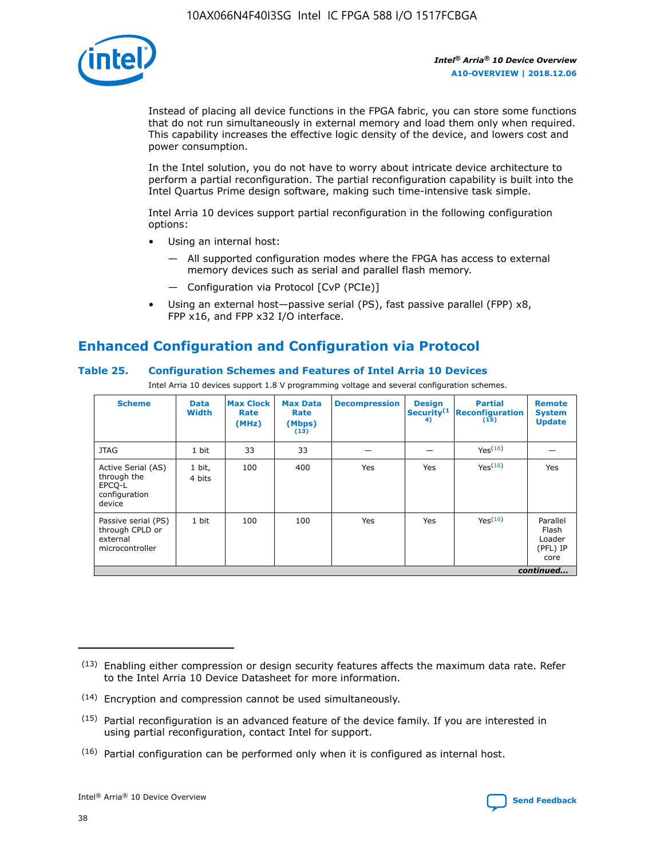

Instead of placing all device functions in the FPGA fabric, you can store some functions that do not run simultaneously in external memory and load them only when required. This capability increases the effective logic density of the device, and lowers cost and power consumption.

In the Intel solution, you do not have to worry about intricate device architecture to perform a partial reconfiguration. The partial reconfiguration capability is built into the Intel Quartus Prime design software, making such time-intensive task simple.

Intel Arria 10 devices support partial reconfiguration in the following configuration options:

- Using an internal host:
	- All supported configuration modes where the FPGA has access to external memory devices such as serial and parallel flash memory.
	- Configuration via Protocol [CvP (PCIe)]
- Using an external host—passive serial (PS), fast passive parallel (FPP) x8, FPP x16, and FPP x32 I/O interface.

# **Enhanced Configuration and Configuration via Protocol**

## **Table 25. Configuration Schemes and Features of Intel Arria 10 Devices**

Intel Arria 10 devices support 1.8 V programming voltage and several configuration schemes.

| <b>Scheme</b>                                                          | <b>Data</b><br><b>Width</b> | <b>Max Clock</b><br>Rate<br>(MHz) | <b>Max Data</b><br>Rate<br>(Mbps)<br>(13) | <b>Decompression</b> | <b>Design</b><br>Security <sup>(1</sup><br>4) | <b>Partial</b><br>Reconfiguration<br>(15) | <b>Remote</b><br><b>System</b><br><b>Update</b> |
|------------------------------------------------------------------------|-----------------------------|-----------------------------------|-------------------------------------------|----------------------|-----------------------------------------------|-------------------------------------------|-------------------------------------------------|
| <b>JTAG</b>                                                            | 1 bit                       | 33                                | 33                                        |                      |                                               | Yes(16)                                   |                                                 |
| Active Serial (AS)<br>through the<br>EPCO-L<br>configuration<br>device | 1 bit,<br>4 bits            | 100                               | 400                                       | Yes                  | Yes                                           | Yes(16)                                   | Yes                                             |
| Passive serial (PS)<br>through CPLD or<br>external<br>microcontroller  | 1 bit                       | 100                               | 100                                       | Yes                  | Yes                                           | Yes <sup>(16)</sup>                       | Parallel<br>Flash<br>Loader<br>(PFL) IP<br>core |
|                                                                        |                             |                                   |                                           |                      |                                               |                                           | continued                                       |

<sup>(13)</sup> Enabling either compression or design security features affects the maximum data rate. Refer to the Intel Arria 10 Device Datasheet for more information.

<sup>(14)</sup> Encryption and compression cannot be used simultaneously.

 $(15)$  Partial reconfiguration is an advanced feature of the device family. If you are interested in using partial reconfiguration, contact Intel for support.

 $(16)$  Partial configuration can be performed only when it is configured as internal host.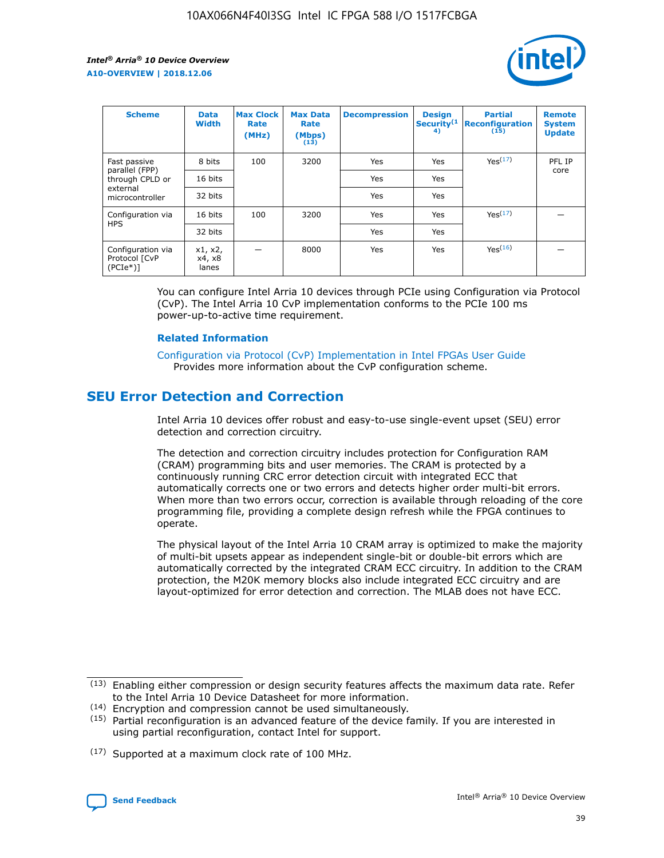

| <b>Scheme</b>                                   | <b>Data</b><br><b>Width</b> | <b>Max Clock</b><br>Rate<br>(MHz) | <b>Max Data</b><br>Rate<br>(Mbps)<br>(13) | <b>Decompression</b> | <b>Design</b><br>Security <sup>(1</sup><br>4) | <b>Partial</b><br><b>Reconfiguration</b><br>(15) | <b>Remote</b><br><b>System</b><br><b>Update</b> |
|-------------------------------------------------|-----------------------------|-----------------------------------|-------------------------------------------|----------------------|-----------------------------------------------|--------------------------------------------------|-------------------------------------------------|
| Fast passive                                    | 8 bits                      | 100                               | 3200                                      | <b>Yes</b>           | Yes                                           | Yes(17)                                          | PFL IP                                          |
| parallel (FPP)<br>through CPLD or               | 16 bits                     |                                   |                                           | Yes                  | Yes                                           |                                                  | core                                            |
| external<br>microcontroller                     | 32 bits                     |                                   |                                           | Yes                  | Yes                                           |                                                  |                                                 |
| Configuration via                               | 16 bits                     | 100                               | 3200                                      | Yes                  | Yes                                           | Yes <sup>(17)</sup>                              |                                                 |
| <b>HPS</b>                                      | 32 bits                     |                                   |                                           | Yes                  | Yes                                           |                                                  |                                                 |
| Configuration via<br>Protocol [CvP<br>$(PCIe*)$ | x1, x2,<br>x4, x8<br>lanes  |                                   | 8000                                      | Yes                  | Yes                                           | Yes <sup>(16)</sup>                              |                                                 |

You can configure Intel Arria 10 devices through PCIe using Configuration via Protocol (CvP). The Intel Arria 10 CvP implementation conforms to the PCIe 100 ms power-up-to-active time requirement.

#### **Related Information**

[Configuration via Protocol \(CvP\) Implementation in Intel FPGAs User Guide](https://www.intel.com/content/www/us/en/programmable/documentation/dsu1441819344145.html#dsu1442269728522) Provides more information about the CvP configuration scheme.

## **SEU Error Detection and Correction**

Intel Arria 10 devices offer robust and easy-to-use single-event upset (SEU) error detection and correction circuitry.

The detection and correction circuitry includes protection for Configuration RAM (CRAM) programming bits and user memories. The CRAM is protected by a continuously running CRC error detection circuit with integrated ECC that automatically corrects one or two errors and detects higher order multi-bit errors. When more than two errors occur, correction is available through reloading of the core programming file, providing a complete design refresh while the FPGA continues to operate.

The physical layout of the Intel Arria 10 CRAM array is optimized to make the majority of multi-bit upsets appear as independent single-bit or double-bit errors which are automatically corrected by the integrated CRAM ECC circuitry. In addition to the CRAM protection, the M20K memory blocks also include integrated ECC circuitry and are layout-optimized for error detection and correction. The MLAB does not have ECC.

(14) Encryption and compression cannot be used simultaneously.

<sup>(17)</sup> Supported at a maximum clock rate of 100 MHz.



 $(13)$  Enabling either compression or design security features affects the maximum data rate. Refer to the Intel Arria 10 Device Datasheet for more information.

 $(15)$  Partial reconfiguration is an advanced feature of the device family. If you are interested in using partial reconfiguration, contact Intel for support.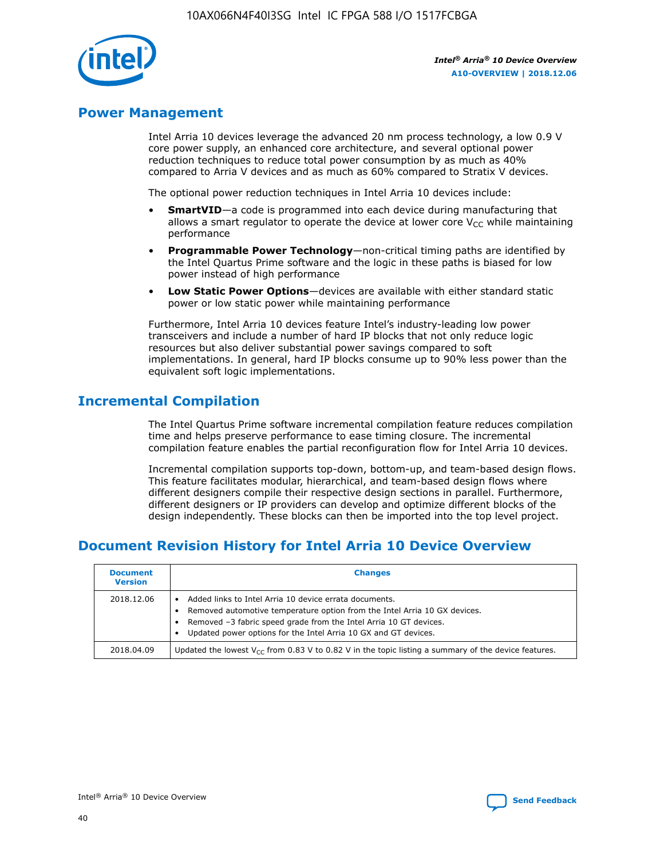

## **Power Management**

Intel Arria 10 devices leverage the advanced 20 nm process technology, a low 0.9 V core power supply, an enhanced core architecture, and several optional power reduction techniques to reduce total power consumption by as much as 40% compared to Arria V devices and as much as 60% compared to Stratix V devices.

The optional power reduction techniques in Intel Arria 10 devices include:

- **SmartVID**—a code is programmed into each device during manufacturing that allows a smart regulator to operate the device at lower core  $V_{CC}$  while maintaining performance
- **Programmable Power Technology**—non-critical timing paths are identified by the Intel Quartus Prime software and the logic in these paths is biased for low power instead of high performance
- **Low Static Power Options**—devices are available with either standard static power or low static power while maintaining performance

Furthermore, Intel Arria 10 devices feature Intel's industry-leading low power transceivers and include a number of hard IP blocks that not only reduce logic resources but also deliver substantial power savings compared to soft implementations. In general, hard IP blocks consume up to 90% less power than the equivalent soft logic implementations.

## **Incremental Compilation**

The Intel Quartus Prime software incremental compilation feature reduces compilation time and helps preserve performance to ease timing closure. The incremental compilation feature enables the partial reconfiguration flow for Intel Arria 10 devices.

Incremental compilation supports top-down, bottom-up, and team-based design flows. This feature facilitates modular, hierarchical, and team-based design flows where different designers compile their respective design sections in parallel. Furthermore, different designers or IP providers can develop and optimize different blocks of the design independently. These blocks can then be imported into the top level project.

# **Document Revision History for Intel Arria 10 Device Overview**

| <b>Document</b><br><b>Version</b> | <b>Changes</b>                                                                                                                                                                                                                                                              |
|-----------------------------------|-----------------------------------------------------------------------------------------------------------------------------------------------------------------------------------------------------------------------------------------------------------------------------|
| 2018.12.06                        | Added links to Intel Arria 10 device errata documents.<br>Removed automotive temperature option from the Intel Arria 10 GX devices.<br>Removed -3 fabric speed grade from the Intel Arria 10 GT devices.<br>Updated power options for the Intel Arria 10 GX and GT devices. |
| 2018.04.09                        | Updated the lowest $V_{CC}$ from 0.83 V to 0.82 V in the topic listing a summary of the device features.                                                                                                                                                                    |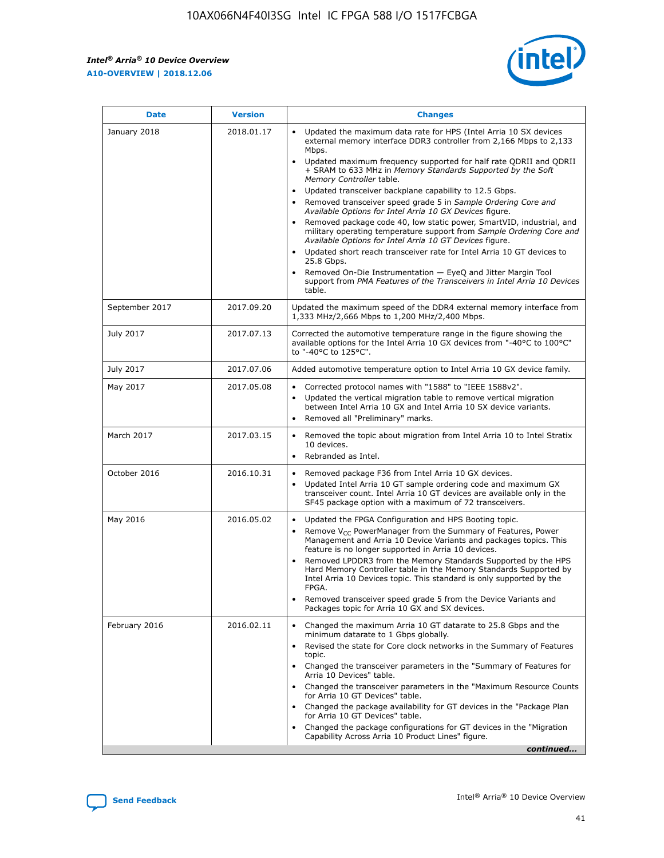*Intel® Arria® 10 Device Overview* **A10-OVERVIEW | 2018.12.06**



| <b>Date</b>    | <b>Version</b> | <b>Changes</b>                                                                                                                                                                                                                                                                                                                                                                                                                                                                                                                                                                                                                                                                                                                                                                                                                                                                                                                                                            |
|----------------|----------------|---------------------------------------------------------------------------------------------------------------------------------------------------------------------------------------------------------------------------------------------------------------------------------------------------------------------------------------------------------------------------------------------------------------------------------------------------------------------------------------------------------------------------------------------------------------------------------------------------------------------------------------------------------------------------------------------------------------------------------------------------------------------------------------------------------------------------------------------------------------------------------------------------------------------------------------------------------------------------|
| January 2018   | 2018.01.17     | Updated the maximum data rate for HPS (Intel Arria 10 SX devices<br>external memory interface DDR3 controller from 2,166 Mbps to 2,133<br>Mbps.<br>Updated maximum frequency supported for half rate QDRII and QDRII<br>+ SRAM to 633 MHz in Memory Standards Supported by the Soft<br>Memory Controller table.<br>Updated transceiver backplane capability to 12.5 Gbps.<br>$\bullet$<br>Removed transceiver speed grade 5 in Sample Ordering Core and<br>Available Options for Intel Arria 10 GX Devices figure.<br>Removed package code 40, low static power, SmartVID, industrial, and<br>military operating temperature support from Sample Ordering Core and<br>Available Options for Intel Arria 10 GT Devices figure.<br>Updated short reach transceiver rate for Intel Arria 10 GT devices to<br>25.8 Gbps.<br>Removed On-Die Instrumentation - EyeQ and Jitter Margin Tool<br>support from PMA Features of the Transceivers in Intel Arria 10 Devices<br>table. |
| September 2017 | 2017.09.20     | Updated the maximum speed of the DDR4 external memory interface from<br>1,333 MHz/2,666 Mbps to 1,200 MHz/2,400 Mbps.                                                                                                                                                                                                                                                                                                                                                                                                                                                                                                                                                                                                                                                                                                                                                                                                                                                     |
| July 2017      | 2017.07.13     | Corrected the automotive temperature range in the figure showing the<br>available options for the Intel Arria 10 GX devices from "-40°C to 100°C"<br>to "-40°C to 125°C".                                                                                                                                                                                                                                                                                                                                                                                                                                                                                                                                                                                                                                                                                                                                                                                                 |
| July 2017      | 2017.07.06     | Added automotive temperature option to Intel Arria 10 GX device family.                                                                                                                                                                                                                                                                                                                                                                                                                                                                                                                                                                                                                                                                                                                                                                                                                                                                                                   |
| May 2017       | 2017.05.08     | Corrected protocol names with "1588" to "IEEE 1588v2".<br>$\bullet$<br>Updated the vertical migration table to remove vertical migration<br>$\bullet$<br>between Intel Arria 10 GX and Intel Arria 10 SX device variants.<br>Removed all "Preliminary" marks.<br>$\bullet$                                                                                                                                                                                                                                                                                                                                                                                                                                                                                                                                                                                                                                                                                                |
| March 2017     | 2017.03.15     | Removed the topic about migration from Intel Arria 10 to Intel Stratix<br>10 devices.<br>Rebranded as Intel.<br>$\bullet$                                                                                                                                                                                                                                                                                                                                                                                                                                                                                                                                                                                                                                                                                                                                                                                                                                                 |
| October 2016   | 2016.10.31     | Removed package F36 from Intel Arria 10 GX devices.<br>Updated Intel Arria 10 GT sample ordering code and maximum GX<br>$\bullet$<br>transceiver count. Intel Arria 10 GT devices are available only in the<br>SF45 package option with a maximum of 72 transceivers.                                                                                                                                                                                                                                                                                                                                                                                                                                                                                                                                                                                                                                                                                                     |
| May 2016       | 2016.05.02     | Updated the FPGA Configuration and HPS Booting topic.<br>$\bullet$<br>Remove V <sub>CC</sub> PowerManager from the Summary of Features, Power<br>Management and Arria 10 Device Variants and packages topics. This<br>feature is no longer supported in Arria 10 devices.<br>Removed LPDDR3 from the Memory Standards Supported by the HPS<br>Hard Memory Controller table in the Memory Standards Supported by<br>Intel Arria 10 Devices topic. This standard is only supported by the<br>FPGA.<br>Removed transceiver speed grade 5 from the Device Variants and<br>Packages topic for Arria 10 GX and SX devices.                                                                                                                                                                                                                                                                                                                                                      |
| February 2016  | 2016.02.11     | Changed the maximum Arria 10 GT datarate to 25.8 Gbps and the<br>minimum datarate to 1 Gbps globally.<br>Revised the state for Core clock networks in the Summary of Features<br>$\bullet$<br>topic.<br>Changed the transceiver parameters in the "Summary of Features for<br>$\bullet$<br>Arria 10 Devices" table.<br>• Changed the transceiver parameters in the "Maximum Resource Counts<br>for Arria 10 GT Devices" table.<br>Changed the package availability for GT devices in the "Package Plan<br>for Arria 10 GT Devices" table.<br>Changed the package configurations for GT devices in the "Migration"<br>Capability Across Arria 10 Product Lines" figure.<br>continued                                                                                                                                                                                                                                                                                       |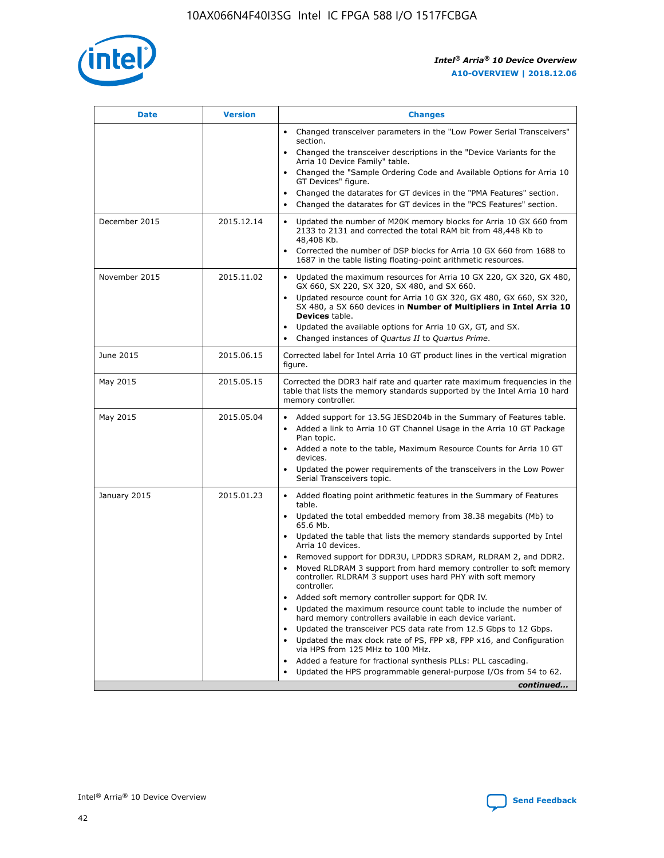

| <b>Date</b>   | <b>Version</b> | <b>Changes</b>                                                                                                                                                               |
|---------------|----------------|------------------------------------------------------------------------------------------------------------------------------------------------------------------------------|
|               |                | • Changed transceiver parameters in the "Low Power Serial Transceivers"<br>section.                                                                                          |
|               |                | • Changed the transceiver descriptions in the "Device Variants for the<br>Arria 10 Device Family" table.                                                                     |
|               |                | Changed the "Sample Ordering Code and Available Options for Arria 10<br>$\bullet$<br>GT Devices" figure.                                                                     |
|               |                | Changed the datarates for GT devices in the "PMA Features" section.                                                                                                          |
|               |                | Changed the datarates for GT devices in the "PCS Features" section.<br>$\bullet$                                                                                             |
| December 2015 | 2015.12.14     | Updated the number of M20K memory blocks for Arria 10 GX 660 from<br>2133 to 2131 and corrected the total RAM bit from 48,448 Kb to<br>48,408 Kb.                            |
|               |                | Corrected the number of DSP blocks for Arria 10 GX 660 from 1688 to<br>1687 in the table listing floating-point arithmetic resources.                                        |
| November 2015 | 2015.11.02     | Updated the maximum resources for Arria 10 GX 220, GX 320, GX 480,<br>$\bullet$<br>GX 660, SX 220, SX 320, SX 480, and SX 660.                                               |
|               |                | • Updated resource count for Arria 10 GX 320, GX 480, GX 660, SX 320,<br>SX 480, a SX 660 devices in Number of Multipliers in Intel Arria 10<br><b>Devices</b> table.        |
|               |                | Updated the available options for Arria 10 GX, GT, and SX.                                                                                                                   |
|               |                | Changed instances of Quartus II to Quartus Prime.<br>$\bullet$                                                                                                               |
| June 2015     | 2015.06.15     | Corrected label for Intel Arria 10 GT product lines in the vertical migration<br>figure.                                                                                     |
| May 2015      | 2015.05.15     | Corrected the DDR3 half rate and quarter rate maximum frequencies in the<br>table that lists the memory standards supported by the Intel Arria 10 hard<br>memory controller. |
| May 2015      | 2015.05.04     | • Added support for 13.5G JESD204b in the Summary of Features table.                                                                                                         |
|               |                | • Added a link to Arria 10 GT Channel Usage in the Arria 10 GT Package<br>Plan topic.                                                                                        |
|               |                | • Added a note to the table, Maximum Resource Counts for Arria 10 GT<br>devices.                                                                                             |
|               |                | • Updated the power requirements of the transceivers in the Low Power<br>Serial Transceivers topic.                                                                          |
| January 2015  | 2015.01.23     | • Added floating point arithmetic features in the Summary of Features<br>table.                                                                                              |
|               |                | • Updated the total embedded memory from 38.38 megabits (Mb) to<br>65.6 Mb.                                                                                                  |
|               |                | • Updated the table that lists the memory standards supported by Intel<br>Arria 10 devices.                                                                                  |
|               |                | Removed support for DDR3U, LPDDR3 SDRAM, RLDRAM 2, and DDR2.                                                                                                                 |
|               |                | Moved RLDRAM 3 support from hard memory controller to soft memory<br>controller. RLDRAM 3 support uses hard PHY with soft memory<br>controller.                              |
|               |                | Added soft memory controller support for QDR IV.<br>٠                                                                                                                        |
|               |                | Updated the maximum resource count table to include the number of<br>hard memory controllers available in each device variant.                                               |
|               |                | Updated the transceiver PCS data rate from 12.5 Gbps to 12 Gbps.<br>$\bullet$                                                                                                |
|               |                | Updated the max clock rate of PS, FPP x8, FPP x16, and Configuration<br>via HPS from 125 MHz to 100 MHz.                                                                     |
|               |                | Added a feature for fractional synthesis PLLs: PLL cascading.                                                                                                                |
|               |                | Updated the HPS programmable general-purpose I/Os from 54 to 62.<br>$\bullet$                                                                                                |
|               |                | continued                                                                                                                                                                    |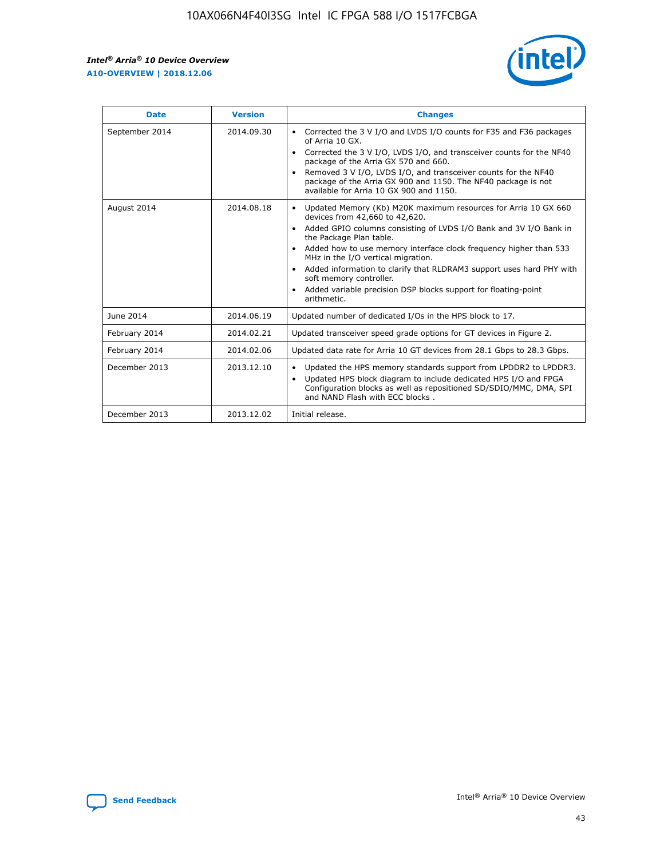r



| <b>Date</b>    | <b>Version</b> | <b>Changes</b>                                                                                                                                                                                                                                                                                                                                                                                                                                                                                                                                      |
|----------------|----------------|-----------------------------------------------------------------------------------------------------------------------------------------------------------------------------------------------------------------------------------------------------------------------------------------------------------------------------------------------------------------------------------------------------------------------------------------------------------------------------------------------------------------------------------------------------|
| September 2014 | 2014.09.30     | Corrected the 3 V I/O and LVDS I/O counts for F35 and F36 packages<br>$\bullet$<br>of Arria 10 GX.<br>Corrected the 3 V I/O, LVDS I/O, and transceiver counts for the NF40<br>$\bullet$<br>package of the Arria GX 570 and 660.<br>Removed 3 V I/O, LVDS I/O, and transceiver counts for the NF40<br>$\bullet$<br>package of the Arria GX 900 and 1150. The NF40 package is not<br>available for Arria 10 GX 900 and 1150.                                                                                                                          |
| August 2014    | 2014.08.18     | Updated Memory (Kb) M20K maximum resources for Arria 10 GX 660<br>devices from 42,660 to 42,620.<br>Added GPIO columns consisting of LVDS I/O Bank and 3V I/O Bank in<br>$\bullet$<br>the Package Plan table.<br>Added how to use memory interface clock frequency higher than 533<br>$\bullet$<br>MHz in the I/O vertical migration.<br>Added information to clarify that RLDRAM3 support uses hard PHY with<br>$\bullet$<br>soft memory controller.<br>Added variable precision DSP blocks support for floating-point<br>$\bullet$<br>arithmetic. |
| June 2014      | 2014.06.19     | Updated number of dedicated I/Os in the HPS block to 17.                                                                                                                                                                                                                                                                                                                                                                                                                                                                                            |
| February 2014  | 2014.02.21     | Updated transceiver speed grade options for GT devices in Figure 2.                                                                                                                                                                                                                                                                                                                                                                                                                                                                                 |
| February 2014  | 2014.02.06     | Updated data rate for Arria 10 GT devices from 28.1 Gbps to 28.3 Gbps.                                                                                                                                                                                                                                                                                                                                                                                                                                                                              |
| December 2013  | 2013.12.10     | Updated the HPS memory standards support from LPDDR2 to LPDDR3.<br>Updated HPS block diagram to include dedicated HPS I/O and FPGA<br>$\bullet$<br>Configuration blocks as well as repositioned SD/SDIO/MMC, DMA, SPI<br>and NAND Flash with ECC blocks.                                                                                                                                                                                                                                                                                            |
| December 2013  | 2013.12.02     | Initial release.                                                                                                                                                                                                                                                                                                                                                                                                                                                                                                                                    |